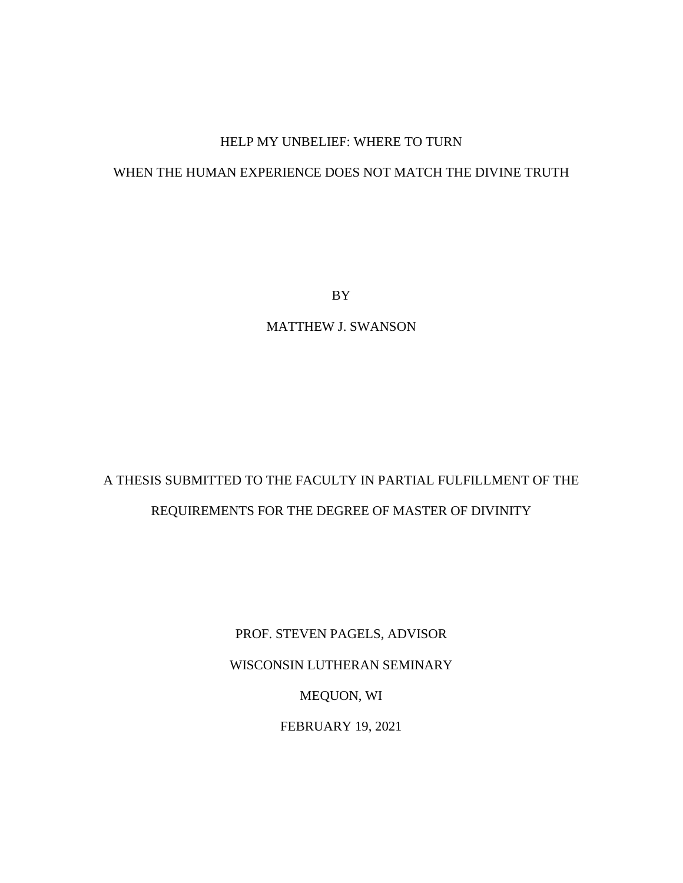# HELP MY UNBELIEF: WHERE TO TURN

# WHEN THE HUMAN EXPERIENCE DOES NOT MATCH THE DIVINE TRUTH

BY

MATTHEW J. SWANSON

# A THESIS SUBMITTED TO THE FACULTY IN PARTIAL FULFILLMENT OF THE REQUIREMENTS FOR THE DEGREE OF MASTER OF DIVINITY

PROF. STEVEN PAGELS, ADVISOR WISCONSIN LUTHERAN SEMINARY MEQUON, WI FEBRUARY 19, 2021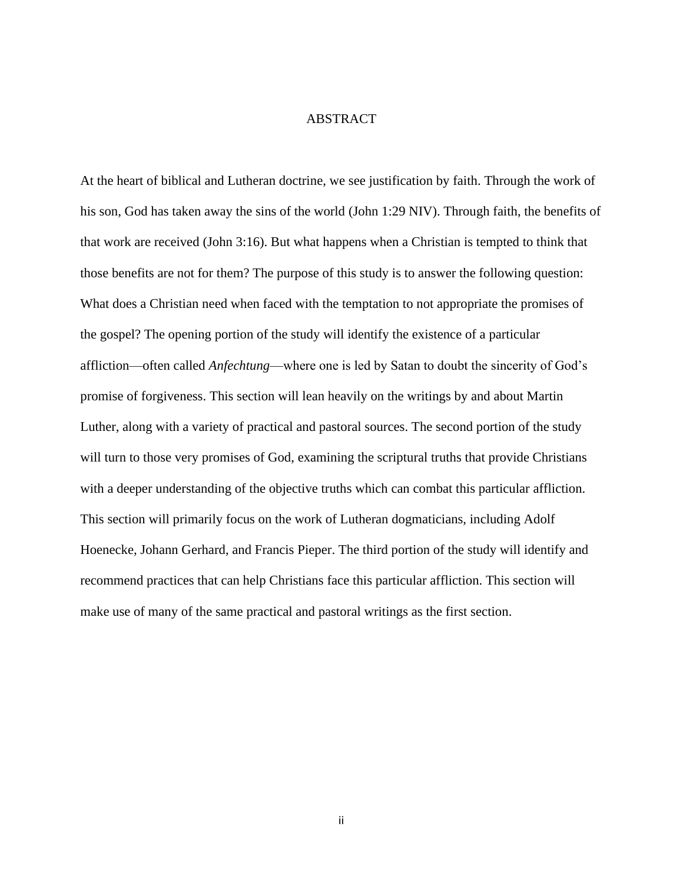# ABSTRACT

At the heart of biblical and Lutheran doctrine, we see justification by faith. Through the work of his son, God has taken away the sins of the world (John 1:29 NIV). Through faith, the benefits of that work are received (John 3:16). But what happens when a Christian is tempted to think that those benefits are not for them? The purpose of this study is to answer the following question: What does a Christian need when faced with the temptation to not appropriate the promises of the gospel? The opening portion of the study will identify the existence of a particular affliction—often called *Anfechtung*—where one is led by Satan to doubt the sincerity of God's promise of forgiveness. This section will lean heavily on the writings by and about Martin Luther, along with a variety of practical and pastoral sources. The second portion of the study will turn to those very promises of God, examining the scriptural truths that provide Christians with a deeper understanding of the objective truths which can combat this particular affliction. This section will primarily focus on the work of Lutheran dogmaticians, including Adolf Hoenecke, Johann Gerhard, and Francis Pieper. The third portion of the study will identify and recommend practices that can help Christians face this particular affliction. This section will make use of many of the same practical and pastoral writings as the first section.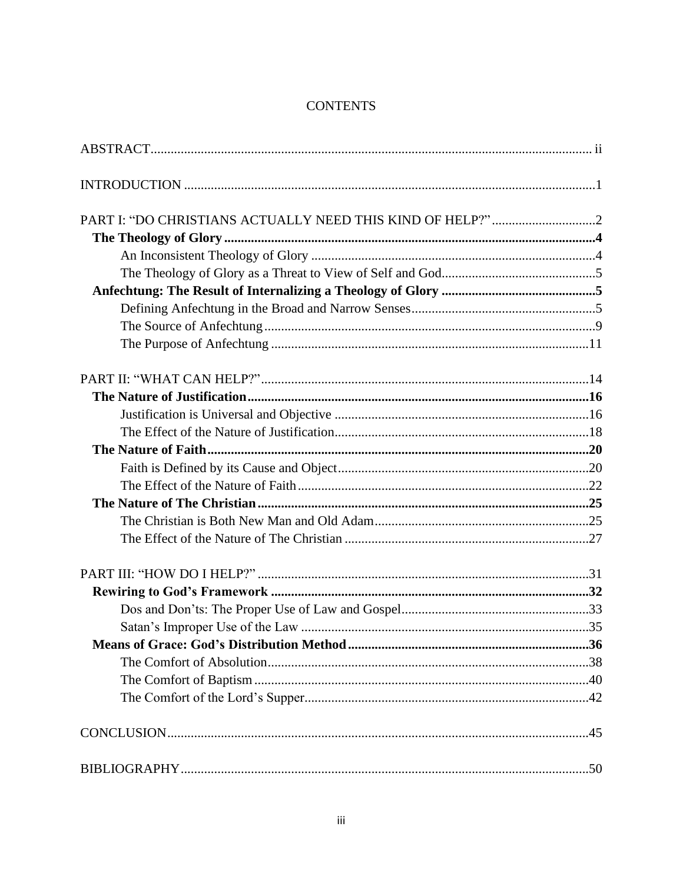# **CONTENTS**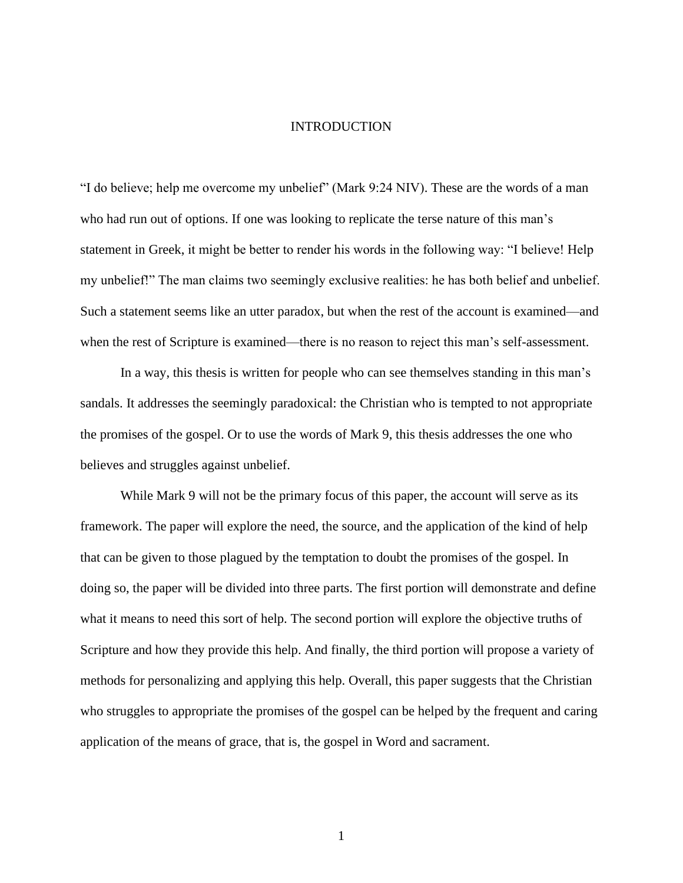#### INTRODUCTION

"I do believe; help me overcome my unbelief" (Mark 9:24 NIV). These are the words of a man who had run out of options. If one was looking to replicate the terse nature of this man's statement in Greek, it might be better to render his words in the following way: "I believe! Help my unbelief!" The man claims two seemingly exclusive realities: he has both belief and unbelief. Such a statement seems like an utter paradox, but when the rest of the account is examined—and when the rest of Scripture is examined—there is no reason to reject this man's self-assessment.

In a way, this thesis is written for people who can see themselves standing in this man's sandals. It addresses the seemingly paradoxical: the Christian who is tempted to not appropriate the promises of the gospel. Or to use the words of Mark 9, this thesis addresses the one who believes and struggles against unbelief.

While Mark 9 will not be the primary focus of this paper, the account will serve as its framework. The paper will explore the need, the source, and the application of the kind of help that can be given to those plagued by the temptation to doubt the promises of the gospel. In doing so, the paper will be divided into three parts. The first portion will demonstrate and define what it means to need this sort of help. The second portion will explore the objective truths of Scripture and how they provide this help. And finally, the third portion will propose a variety of methods for personalizing and applying this help. Overall, this paper suggests that the Christian who struggles to appropriate the promises of the gospel can be helped by the frequent and caring application of the means of grace, that is, the gospel in Word and sacrament.

1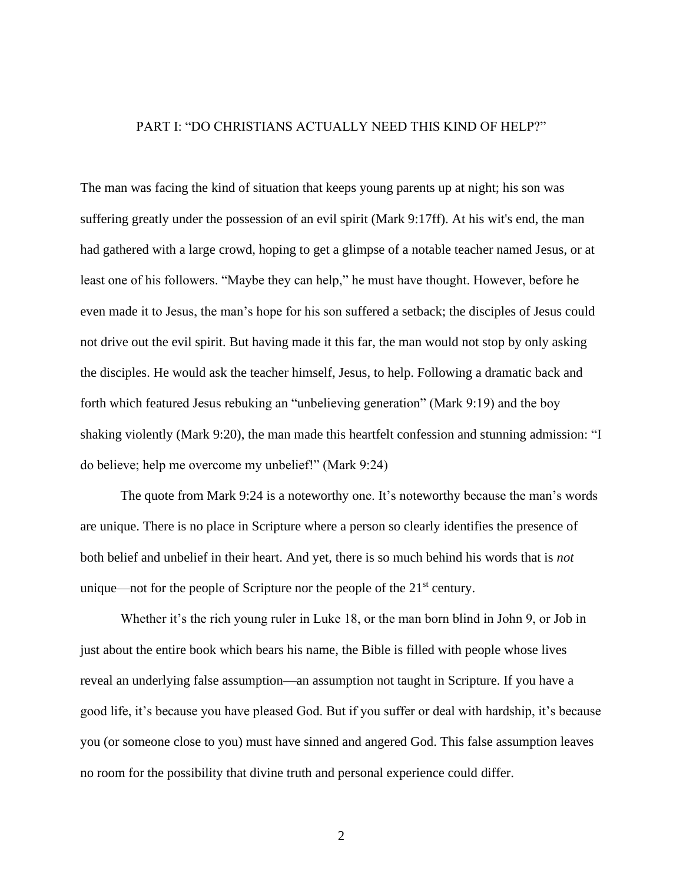# PART I: "DO CHRISTIANS ACTUALLY NEED THIS KIND OF HELP?"

The man was facing the kind of situation that keeps young parents up at night; his son was suffering greatly under the possession of an evil spirit (Mark 9:17ff). At his wit's end, the man had gathered with a large crowd, hoping to get a glimpse of a notable teacher named Jesus, or at least one of his followers. "Maybe they can help," he must have thought. However, before he even made it to Jesus, the man's hope for his son suffered a setback; the disciples of Jesus could not drive out the evil spirit. But having made it this far, the man would not stop by only asking the disciples. He would ask the teacher himself, Jesus, to help. Following a dramatic back and forth which featured Jesus rebuking an "unbelieving generation" (Mark 9:19) and the boy shaking violently (Mark 9:20), the man made this heartfelt confession and stunning admission: "I do believe; help me overcome my unbelief!" (Mark 9:24)

The quote from Mark 9:24 is a noteworthy one. It's noteworthy because the man's words are unique. There is no place in Scripture where a person so clearly identifies the presence of both belief and unbelief in their heart. And yet, there is so much behind his words that is *not*  unique—not for the people of Scripture nor the people of the  $21<sup>st</sup>$  century.

Whether it's the rich young ruler in Luke 18, or the man born blind in John 9, or Job in just about the entire book which bears his name, the Bible is filled with people whose lives reveal an underlying false assumption—an assumption not taught in Scripture. If you have a good life, it's because you have pleased God. But if you suffer or deal with hardship, it's because you (or someone close to you) must have sinned and angered God. This false assumption leaves no room for the possibility that divine truth and personal experience could differ.

2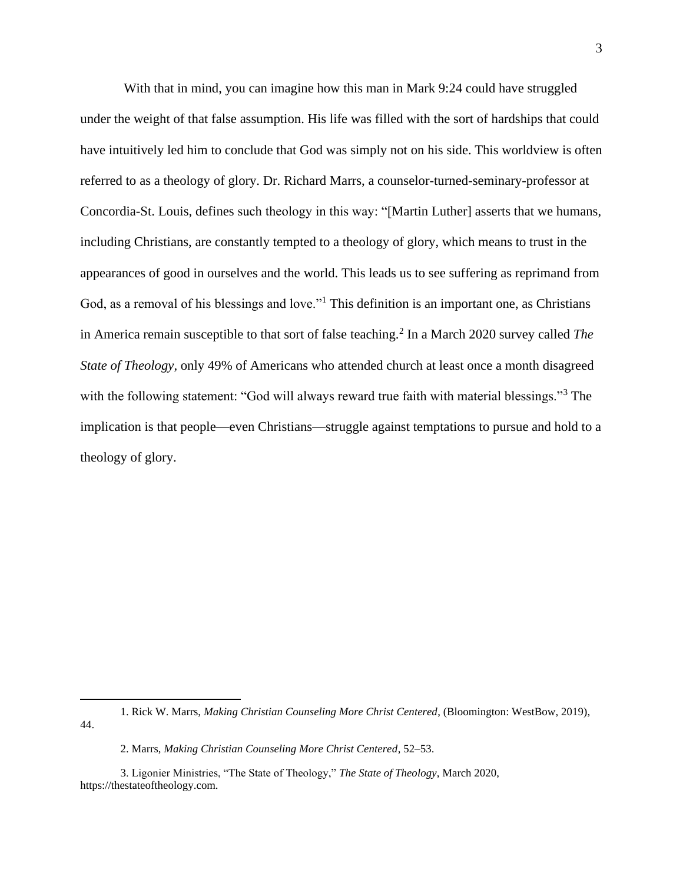With that in mind, you can imagine how this man in Mark 9:24 could have struggled under the weight of that false assumption. His life was filled with the sort of hardships that could have intuitively led him to conclude that God was simply not on his side. This worldview is often referred to as a theology of glory. Dr. Richard Marrs, a counselor-turned-seminary-professor at Concordia-St. Louis, defines such theology in this way: "[Martin Luther] asserts that we humans, including Christians, are constantly tempted to a theology of glory, which means to trust in the appearances of good in ourselves and the world. This leads us to see suffering as reprimand from God, as a removal of his blessings and love."<sup>1</sup> This definition is an important one, as Christians in America remain susceptible to that sort of false teaching.<sup>2</sup> In a March 2020 survey called *The State of Theology,* only 49% of Americans who attended church at least once a month disagreed with the following statement: "God will always reward true faith with material blessings."<sup>3</sup> The implication is that people—even Christians—struggle against temptations to pursue and hold to a theology of glory.

<sup>1.</sup> Rick W. Marrs, *Making Christian Counseling More Christ Centered*, (Bloomington: WestBow, 2019), 44.

<sup>2.</sup> Marrs, *Making Christian Counseling More Christ Centered*, 52–53.

<sup>3.</sup> Ligonier Ministries, "The State of Theology," *The State of Theology*, March 2020, https://thestateoftheology.com.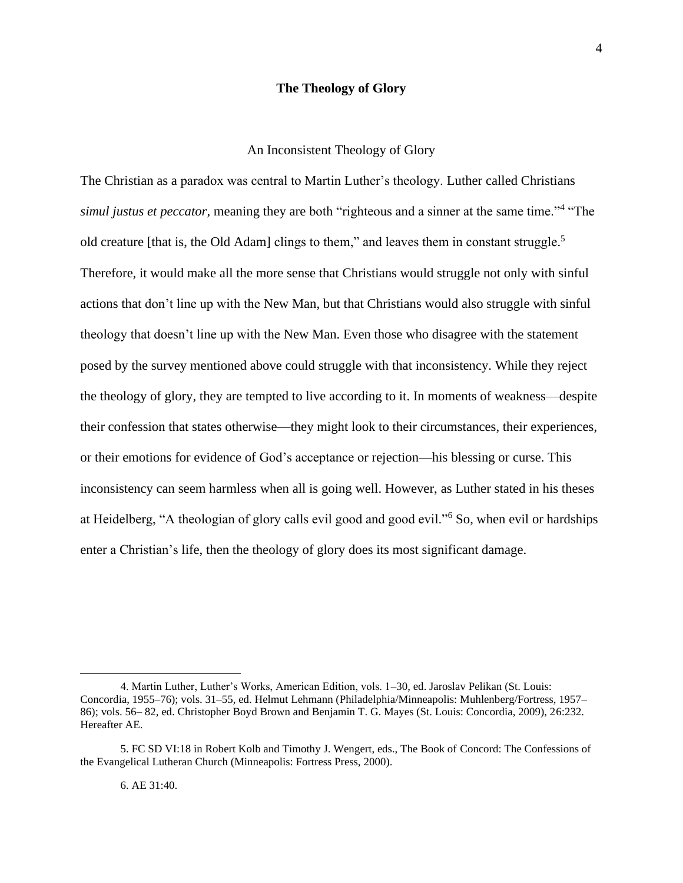# **The Theology of Glory**

# An Inconsistent Theology of Glory

The Christian as a paradox was central to Martin Luther's theology. Luther called Christians simul justus et peccator, meaning they are both "righteous and a sinner at the same time."<sup>4</sup> "The old creature [that is, the Old Adam] clings to them," and leaves them in constant struggle.<sup>5</sup> Therefore, it would make all the more sense that Christians would struggle not only with sinful actions that don't line up with the New Man, but that Christians would also struggle with sinful theology that doesn't line up with the New Man. Even those who disagree with the statement posed by the survey mentioned above could struggle with that inconsistency. While they reject the theology of glory, they are tempted to live according to it. In moments of weakness—despite their confession that states otherwise—they might look to their circumstances, their experiences, or their emotions for evidence of God's acceptance or rejection—his blessing or curse. This inconsistency can seem harmless when all is going well. However, as Luther stated in his theses at Heidelberg, "A theologian of glory calls evil good and good evil."<sup>6</sup> So, when evil or hardships enter a Christian's life, then the theology of glory does its most significant damage.

<sup>4.</sup> Martin Luther, Luther's Works, American Edition, vols. 1–30, ed. Jaroslav Pelikan (St. Louis: Concordia, 1955–76); vols. 31–55, ed. Helmut Lehmann (Philadelphia/Minneapolis: Muhlenberg/Fortress, 1957– 86); vols. 56– 82, ed. Christopher Boyd Brown and Benjamin T. G. Mayes (St. Louis: Concordia, 2009), 26:232. Hereafter AE.

<sup>5.</sup> FC SD VI:18 in Robert Kolb and Timothy J. Wengert, eds., The Book of Concord: The Confessions of the Evangelical Lutheran Church (Minneapolis: Fortress Press, 2000).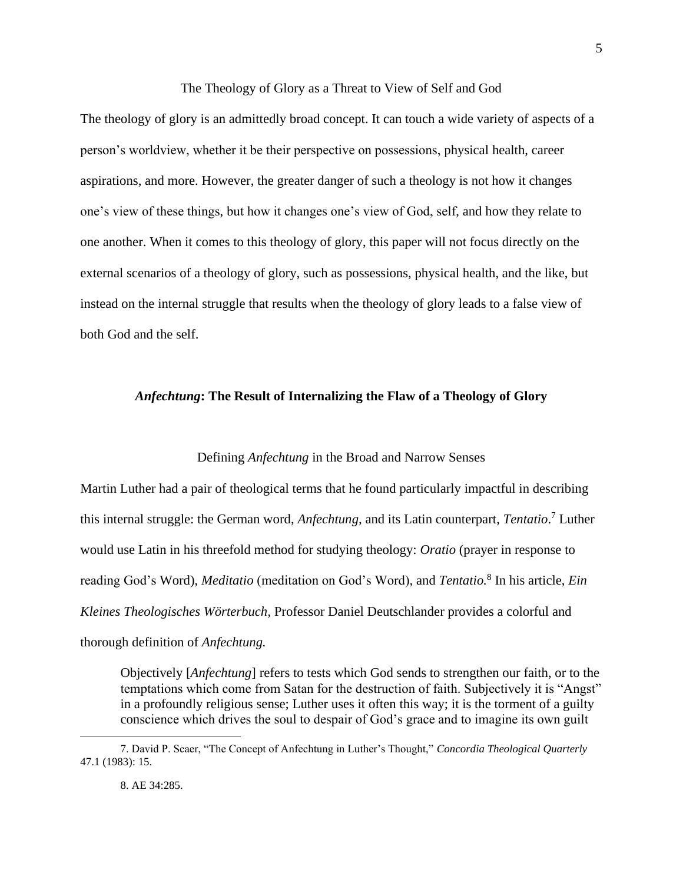#### The Theology of Glory as a Threat to View of Self and God

5

The theology of glory is an admittedly broad concept. It can touch a wide variety of aspects of a person's worldview, whether it be their perspective on possessions, physical health, career aspirations, and more. However, the greater danger of such a theology is not how it changes one's view of these things, but how it changes one's view of God, self, and how they relate to one another. When it comes to this theology of glory, this paper will not focus directly on the external scenarios of a theology of glory, such as possessions, physical health, and the like, but instead on the internal struggle that results when the theology of glory leads to a false view of both God and the self.

#### *Anfechtung***: The Result of Internalizing the Flaw of a Theology of Glory**

#### Defining *Anfechtung* in the Broad and Narrow Senses

Martin Luther had a pair of theological terms that he found particularly impactful in describing this internal struggle: the German word, *Anfechtung,* and its Latin counterpart, *Tentatio*. <sup>7</sup> Luther would use Latin in his threefold method for studying theology: *Oratio* (prayer in response to reading God's Word)*, Meditatio* (meditation on God's Word)*,* and *Tentatio.*<sup>8</sup> In his article, *Ein Kleines Theologisches Wörterbuch,* Professor Daniel Deutschlander provides a colorful and thorough definition of *Anfechtung.*

Objectively [*Anfechtung*] refers to tests which God sends to strengthen our faith, or to the temptations which come from Satan for the destruction of faith. Subjectively it is "Angst" in a profoundly religious sense; Luther uses it often this way; it is the torment of a guilty conscience which drives the soul to despair of God's grace and to imagine its own guilt

<sup>7.</sup> David P. Scaer, "The Concept of Anfechtung in Luther's Thought," *Concordia Theological Quarterly*  47.1 (1983): 15.

<sup>8.</sup> AE 34:285.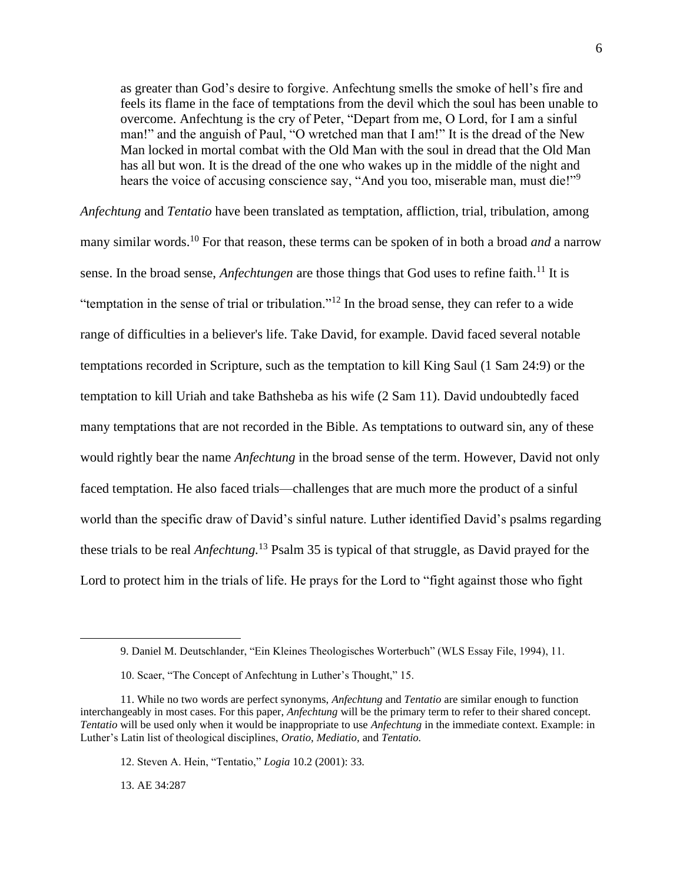as greater than God's desire to forgive. Anfechtung smells the smoke of hell's fire and feels its flame in the face of temptations from the devil which the soul has been unable to overcome. Anfechtung is the cry of Peter, "Depart from me, O Lord, for I am a sinful man!" and the anguish of Paul, "O wretched man that I am!" It is the dread of the New Man locked in mortal combat with the Old Man with the soul in dread that the Old Man has all but won. It is the dread of the one who wakes up in the middle of the night and hears the voice of accusing conscience say, "And you too, miserable man, must die!"<sup>9</sup>

*Anfechtung* and *Tentatio* have been translated as temptation, affliction, trial, tribulation, among many similar words. <sup>10</sup> For that reason, these terms can be spoken of in both a broad *and* a narrow sense. In the broad sense, *Anfechtungen* are those things that God uses to refine faith.<sup>11</sup> It is "temptation in the sense of trial or tribulation."<sup>12</sup> In the broad sense, they can refer to a wide range of difficulties in a believer's life. Take David, for example. David faced several notable temptations recorded in Scripture, such as the temptation to kill King Saul (1 Sam 24:9) or the temptation to kill Uriah and take Bathsheba as his wife (2 Sam 11). David undoubtedly faced many temptations that are not recorded in the Bible. As temptations to outward sin, any of these would rightly bear the name *Anfechtung* in the broad sense of the term. However, David not only faced temptation. He also faced trials—challenges that are much more the product of a sinful world than the specific draw of David's sinful nature. Luther identified David's psalms regarding these trials to be real *Anfechtung.* <sup>13</sup> Psalm 35 is typical of that struggle, as David prayed for the Lord to protect him in the trials of life. He prays for the Lord to "fight against those who fight

13. AE 34:287

<sup>9.</sup> Daniel M. Deutschlander, "Ein Kleines Theologisches Worterbuch" (WLS Essay File, 1994), 11.

<sup>10.</sup> Scaer, "The Concept of Anfechtung in Luther's Thought," 15.

<sup>11.</sup> While no two words are perfect synonyms, *Anfechtung* and *Tentatio* are similar enough to function interchangeably in most cases. For this paper, *Anfechtung* will be the primary term to refer to their shared concept. *Tentatio* will be used only when it would be inappropriate to use *Anfechtung* in the immediate context. Example: in Luther's Latin list of theological disciplines, *Oratio, Mediatio,* and *Tentatio.*

<sup>12.</sup> Steven A. Hein, "Tentatio," *Logia* 10.2 (2001): 33.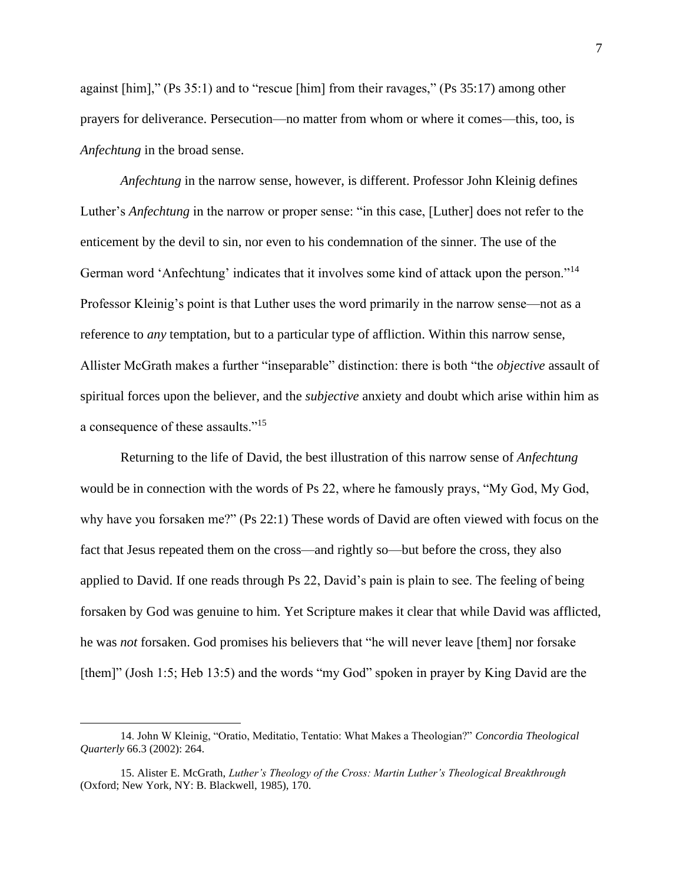against [him]," (Ps 35:1) and to "rescue [him] from their ravages," (Ps 35:17) among other prayers for deliverance. Persecution—no matter from whom or where it comes—this, too, is *Anfechtung* in the broad sense.

*Anfechtung* in the narrow sense, however, is different. Professor John Kleinig defines Luther's *Anfechtung* in the narrow or proper sense: "in this case, [Luther] does not refer to the enticement by the devil to sin, nor even to his condemnation of the sinner. The use of the German word 'Anfechtung' indicates that it involves some kind of attack upon the person."<sup>14</sup> Professor Kleinig's point is that Luther uses the word primarily in the narrow sense—not as a reference to *any* temptation, but to a particular type of affliction. Within this narrow sense, Allister McGrath makes a further "inseparable" distinction: there is both "the *objective* assault of spiritual forces upon the believer, and the *subjective* anxiety and doubt which arise within him as a consequence of these assaults."<sup>15</sup>

Returning to the life of David, the best illustration of this narrow sense of *Anfechtung* would be in connection with the words of Ps 22, where he famously prays, "My God, My God, why have you forsaken me?" (Ps 22:1) These words of David are often viewed with focus on the fact that Jesus repeated them on the cross—and rightly so—but before the cross, they also applied to David. If one reads through Ps 22, David's pain is plain to see. The feeling of being forsaken by God was genuine to him. Yet Scripture makes it clear that while David was afflicted, he was *not* forsaken. God promises his believers that "he will never leave [them] nor forsake [them]" (Josh 1:5; Heb 13:5) and the words "my God" spoken in prayer by King David are the

<sup>14.</sup> John W Kleinig, "Oratio, Meditatio, Tentatio: What Makes a Theologian?" *Concordia Theological Quarterly* 66.3 (2002): 264.

<sup>15.</sup> Alister E. McGrath, *Luther's Theology of the Cross: Martin Luther's Theological Breakthrough* (Oxford; New York, NY: B. Blackwell, 1985), 170.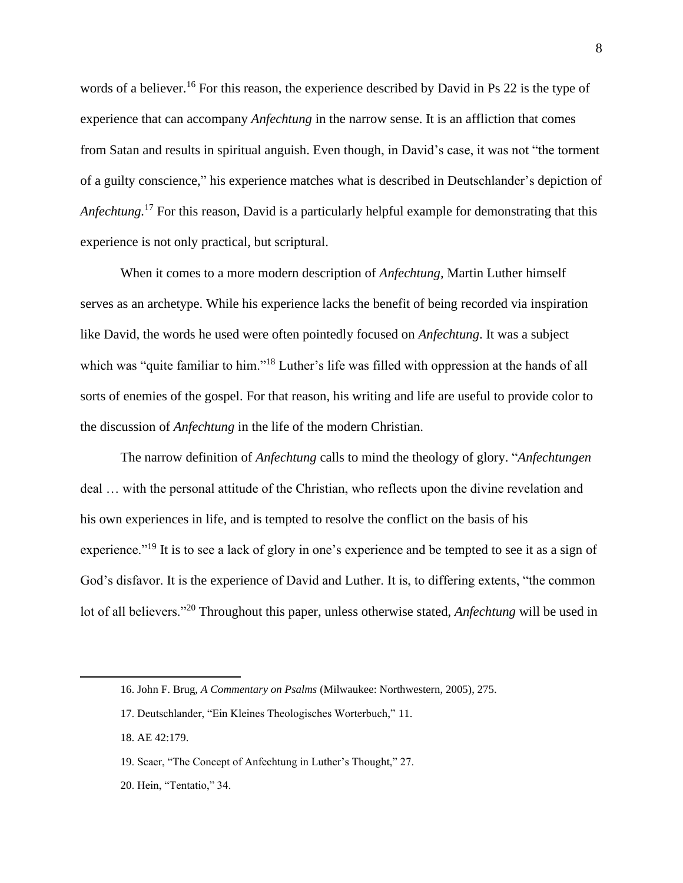words of a believer.<sup>16</sup> For this reason, the experience described by David in Ps 22 is the type of experience that can accompany *Anfechtung* in the narrow sense. It is an affliction that comes from Satan and results in spiritual anguish. Even though, in David's case, it was not "the torment of a guilty conscience," his experience matches what is described in Deutschlander's depiction of *Anfechtung.* <sup>17</sup> For this reason, David is a particularly helpful example for demonstrating that this experience is not only practical, but scriptural.

When it comes to a more modern description of *Anfechtung,* Martin Luther himself serves as an archetype. While his experience lacks the benefit of being recorded via inspiration like David, the words he used were often pointedly focused on *Anfechtung*. It was a subject which was "quite familiar to him."<sup>18</sup> Luther's life was filled with oppression at the hands of all sorts of enemies of the gospel. For that reason, his writing and life are useful to provide color to the discussion of *Anfechtung* in the life of the modern Christian.

The narrow definition of *Anfechtung* calls to mind the theology of glory. "*Anfechtungen* deal … with the personal attitude of the Christian, who reflects upon the divine revelation and his own experiences in life, and is tempted to resolve the conflict on the basis of his experience."<sup>19</sup> It is to see a lack of glory in one's experience and be tempted to see it as a sign of God's disfavor. It is the experience of David and Luther. It is, to differing extents, "the common lot of all believers."<sup>20</sup> Throughout this paper, unless otherwise stated, *Anfechtung* will be used in

<sup>16.</sup> John F. Brug, *A Commentary on Psalms* (Milwaukee: Northwestern, 2005), 275.

<sup>17.</sup> Deutschlander, "Ein Kleines Theologisches Worterbuch," 11.

<sup>18.</sup> AE 42:179.

<sup>19.</sup> Scaer, "The Concept of Anfechtung in Luther's Thought," 27.

<sup>20.</sup> Hein, "Tentatio," 34.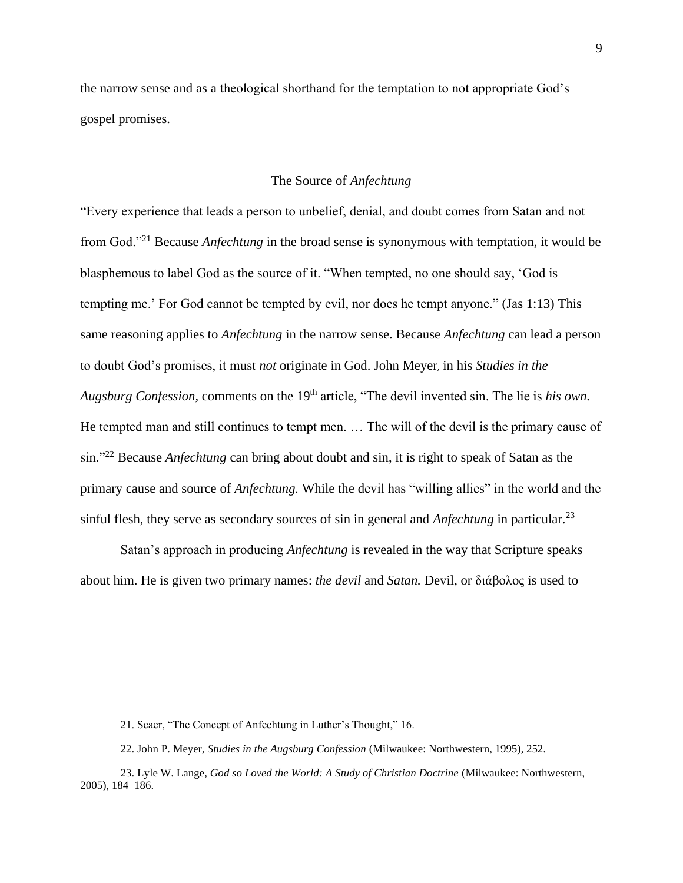the narrow sense and as a theological shorthand for the temptation to not appropriate God's gospel promises.

#### The Source of *Anfechtung*

"Every experience that leads a person to unbelief, denial, and doubt comes from Satan and not from God."<sup>21</sup> Because *Anfechtung* in the broad sense is synonymous with temptation, it would be blasphemous to label God as the source of it. "When tempted, no one should say, 'God is tempting me.' For God cannot be tempted by evil, nor does he tempt anyone." (Jas 1:13) This same reasoning applies to *Anfechtung* in the narrow sense. Because *Anfechtung* can lead a person to doubt God's promises, it must *not* originate in God. John Meyer, in his *Studies in the Augsburg Confession, comments on the 19<sup>th</sup> article, "The devil invented sin. The lie is his own.* He tempted man and still continues to tempt men. … The will of the devil is the primary cause of sin."<sup>22</sup> Because *Anfechtung* can bring about doubt and sin, it is right to speak of Satan as the primary cause and source of *Anfechtung.* While the devil has "willing allies" in the world and the sinful flesh, they serve as secondary sources of sin in general and *Anfechtung* in particular.<sup>23</sup>

Satan's approach in producing *Anfechtung* is revealed in the way that Scripture speaks about him. He is given two primary names: *the devil* and *Satan.* Devil, or διάβολος is used to

<sup>21.</sup> Scaer, "The Concept of Anfechtung in Luther's Thought," 16.

<sup>22.</sup> John P. Meyer, *Studies in the Augsburg Confession* (Milwaukee: Northwestern, 1995), 252.

<sup>23.</sup> Lyle W. Lange, *God so Loved the World: A Study of Christian Doctrine* (Milwaukee: Northwestern, 2005), 184–186.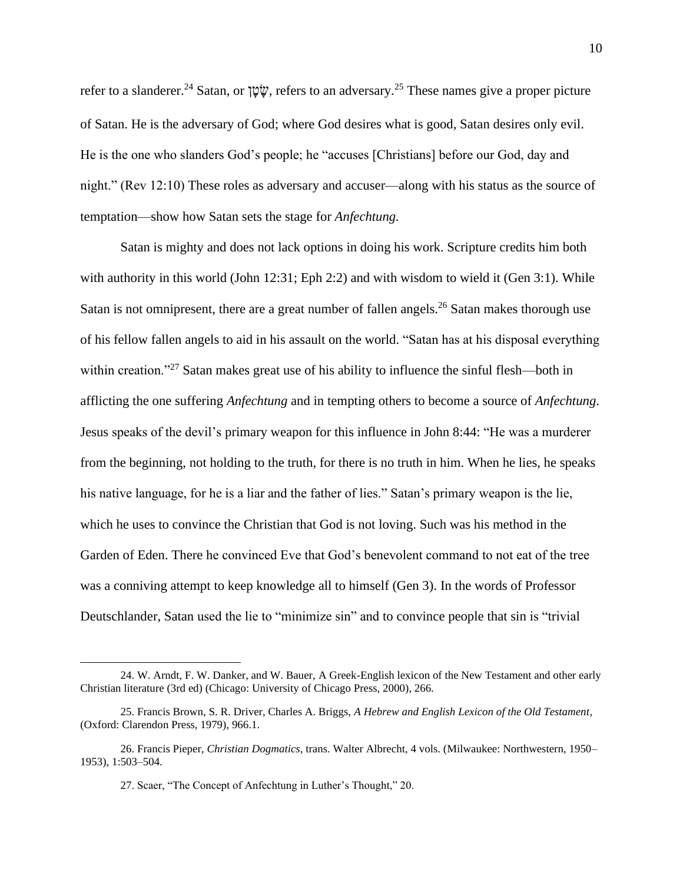refer to a slanderer.<sup>24</sup> Satan, or  $\psi$ <sup>*i*</sup>, refers to an adversary.<sup>25</sup> These names give a proper picture of Satan. He is the adversary of God; where God desires what is good, Satan desires only evil. He is the one who slanders God's people; he "accuses [Christians] before our God, day and night." (Rev 12:10) These roles as adversary and accuser—along with his status as the source of temptation—show how Satan sets the stage for *Anfechtung.* 

Satan is mighty and does not lack options in doing his work. Scripture credits him both with authority in this world (John 12:31; Eph 2:2) and with wisdom to wield it (Gen 3:1). While Satan is not omnipresent, there are a great number of fallen angels.<sup>26</sup> Satan makes thorough use of his fellow fallen angels to aid in his assault on the world. "Satan has at his disposal everything within creation."<sup>27</sup> Satan makes great use of his ability to influence the sinful flesh—both in afflicting the one suffering *Anfechtung* and in tempting others to become a source of *Anfechtung*. Jesus speaks of the devil's primary weapon for this influence in John 8:44: "He was a murderer from the beginning, not holding to the truth, for there is no truth in him. When he lies, he speaks his native language, for he is a liar and the father of lies." Satan's primary weapon is the lie, which he uses to convince the Christian that God is not loving. Such was his method in the Garden of Eden. There he convinced Eve that God's benevolent command to not eat of the tree was a conniving attempt to keep knowledge all to himself (Gen 3). In the words of Professor Deutschlander, Satan used the lie to "minimize sin" and to convince people that sin is "trivial

<sup>24.</sup> W. Arndt, F. W. Danker, and W. Bauer, A Greek-English lexicon of the New Testament and other early Christian literature (3rd ed) (Chicago: University of Chicago Press, 2000), 266.

<sup>25.</sup> Francis Brown, S. R. Driver, Charles A. Briggs, *A Hebrew and English Lexicon of the Old Testament*, (Oxford: Clarendon Press, 1979), 966.1.

<sup>26.</sup> Francis Pieper, *Christian Dogmatics*, trans. Walter Albrecht, 4 vols. (Milwaukee: Northwestern, 1950– 1953), 1:503–504.

<sup>27.</sup> Scaer, "The Concept of Anfechtung in Luther's Thought," 20.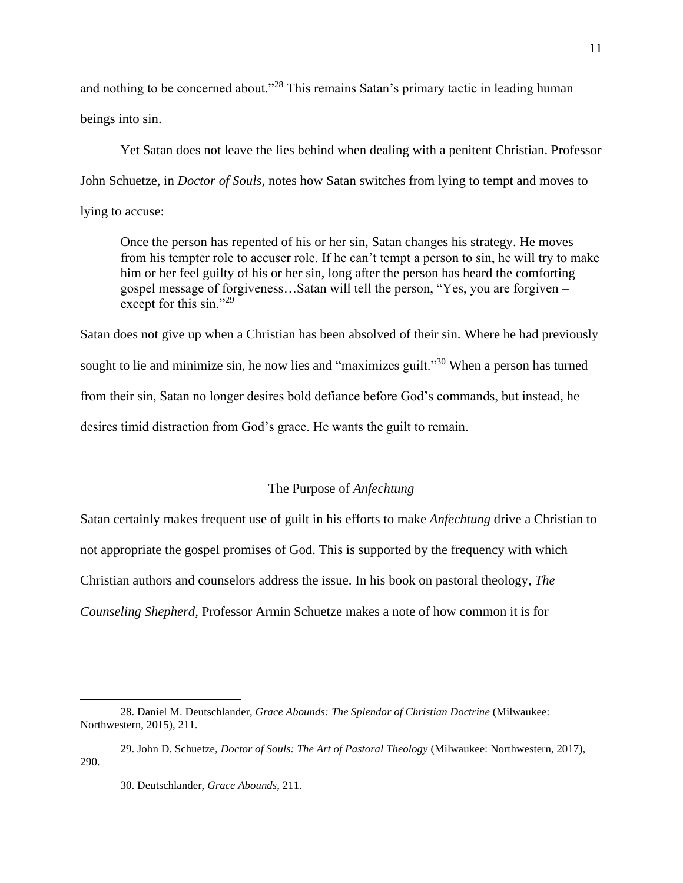and nothing to be concerned about."<sup>28</sup> This remains Satan's primary tactic in leading human beings into sin.

Yet Satan does not leave the lies behind when dealing with a penitent Christian. Professor John Schuetze, in *Doctor of Souls,* notes how Satan switches from lying to tempt and moves to lying to accuse:

Once the person has repented of his or her sin, Satan changes his strategy. He moves from his tempter role to accuser role. If he can't tempt a person to sin, he will try to make him or her feel guilty of his or her sin, long after the person has heard the comforting gospel message of forgiveness…Satan will tell the person, "Yes, you are forgiven – except for this sin."<sup>29</sup>

Satan does not give up when a Christian has been absolved of their sin. Where he had previously sought to lie and minimize sin, he now lies and "maximizes guilt."<sup>30</sup> When a person has turned from their sin, Satan no longer desires bold defiance before God's commands, but instead, he desires timid distraction from God's grace. He wants the guilt to remain.

#### The Purpose of *Anfechtung*

Satan certainly makes frequent use of guilt in his efforts to make *Anfechtung* drive a Christian to not appropriate the gospel promises of God. This is supported by the frequency with which Christian authors and counselors address the issue. In his book on pastoral theology, *The Counseling Shepherd,* Professor Armin Schuetze makes a note of how common it is for

<sup>28.</sup> Daniel M. Deutschlander, *Grace Abounds: The Splendor of Christian Doctrine* (Milwaukee: Northwestern, 2015), 211.

<sup>29.</sup> John D. Schuetze, *Doctor of Souls: The Art of Pastoral Theology* (Milwaukee: Northwestern, 2017), 290.

<sup>30.</sup> Deutschlander, *Grace Abounds*, 211.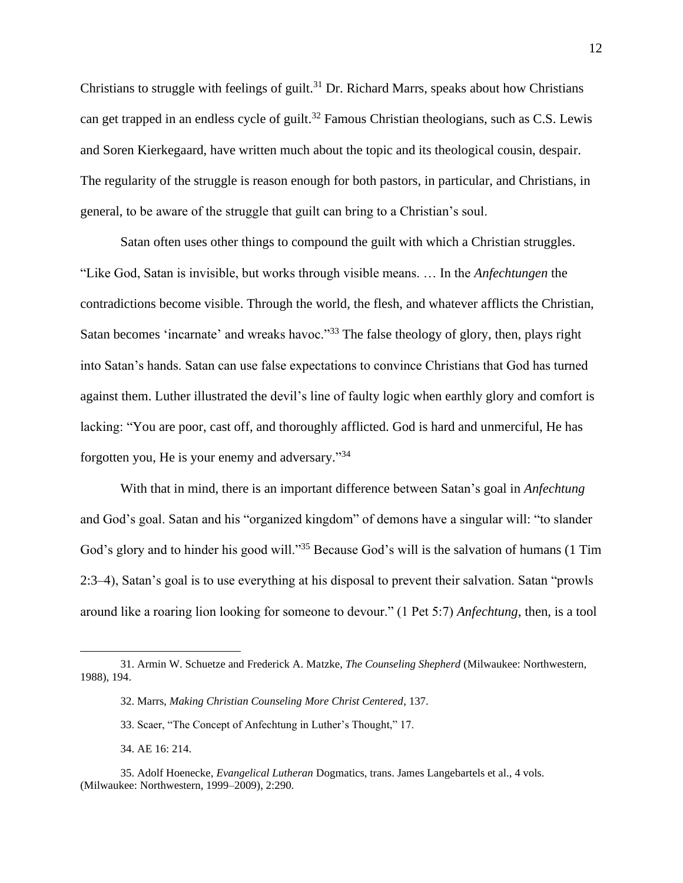Christians to struggle with feelings of guilt.<sup>31</sup> Dr. Richard Marrs, speaks about how Christians can get trapped in an endless cycle of guilt.<sup>32</sup> Famous Christian theologians, such as C.S. Lewis and Soren Kierkegaard, have written much about the topic and its theological cousin, despair. The regularity of the struggle is reason enough for both pastors, in particular, and Christians, in general, to be aware of the struggle that guilt can bring to a Christian's soul.

Satan often uses other things to compound the guilt with which a Christian struggles. "Like God, Satan is invisible, but works through visible means. … In the *Anfechtungen* the contradictions become visible. Through the world, the flesh, and whatever afflicts the Christian, Satan becomes 'incarnate' and wreaks havoc."<sup>33</sup> The false theology of glory, then, plays right into Satan's hands. Satan can use false expectations to convince Christians that God has turned against them. Luther illustrated the devil's line of faulty logic when earthly glory and comfort is lacking: "You are poor, cast off, and thoroughly afflicted. God is hard and unmerciful, He has forgotten you, He is your enemy and adversary."<sup>34</sup>

With that in mind, there is an important difference between Satan's goal in *Anfechtung* and God's goal. Satan and his "organized kingdom" of demons have a singular will: "to slander God's glory and to hinder his good will."<sup>35</sup> Because God's will is the salvation of humans (1 Tim 2:3–4), Satan's goal is to use everything at his disposal to prevent their salvation. Satan "prowls around like a roaring lion looking for someone to devour." (1 Pet 5:7) *Anfechtung*, then, is a tool

<sup>31.</sup> Armin W. Schuetze and Frederick A. Matzke, *The Counseling Shepherd* (Milwaukee: Northwestern, 1988), 194.

<sup>32.</sup> Marrs, *Making Christian Counseling More Christ Centered*, 137.

<sup>33.</sup> Scaer, "The Concept of Anfechtung in Luther's Thought," 17.

<sup>34.</sup> AE 16: 214.

<sup>35.</sup> Adolf Hoenecke, *Evangelical Lutheran* Dogmatics, trans. James Langebartels et al., 4 vols. (Milwaukee: Northwestern, 1999–2009), 2:290.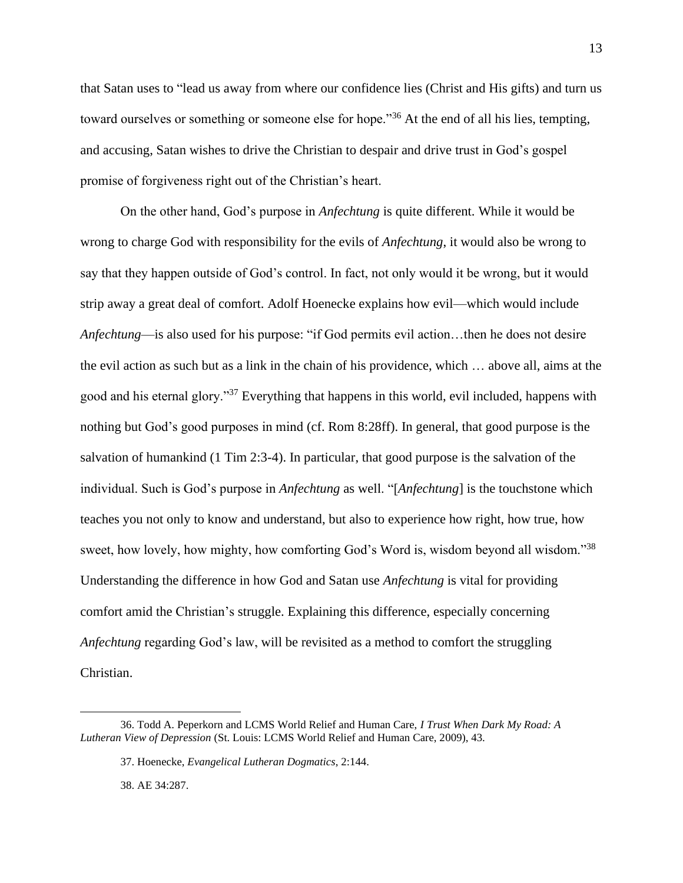that Satan uses to "lead us away from where our confidence lies (Christ and His gifts) and turn us toward ourselves or something or someone else for hope."<sup>36</sup> At the end of all his lies, tempting, and accusing, Satan wishes to drive the Christian to despair and drive trust in God's gospel promise of forgiveness right out of the Christian's heart.

On the other hand, God's purpose in *Anfechtung* is quite different. While it would be wrong to charge God with responsibility for the evils of *Anfechtung*, it would also be wrong to say that they happen outside of God's control. In fact, not only would it be wrong, but it would strip away a great deal of comfort. Adolf Hoenecke explains how evil—which would include *Anfechtung*—is also used for his purpose: "if God permits evil action…then he does not desire the evil action as such but as a link in the chain of his providence, which … above all, aims at the good and his eternal glory."<sup>37</sup> Everything that happens in this world, evil included, happens with nothing but God's good purposes in mind (cf. Rom 8:28ff). In general, that good purpose is the salvation of humankind (1 Tim 2:3-4). In particular, that good purpose is the salvation of the individual. Such is God's purpose in *Anfechtung* as well. "[*Anfechtung*] is the touchstone which teaches you not only to know and understand, but also to experience how right, how true, how sweet, how lovely, how mighty, how comforting God's Word is, wisdom beyond all wisdom."<sup>38</sup> Understanding the difference in how God and Satan use *Anfechtung* is vital for providing comfort amid the Christian's struggle. Explaining this difference, especially concerning *Anfechtung* regarding God's law, will be revisited as a method to comfort the struggling Christian.

38. AE 34:287.

<sup>36.</sup> Todd A. Peperkorn and LCMS World Relief and Human Care, *I Trust When Dark My Road: A Lutheran View of Depression* (St. Louis: LCMS World Relief and Human Care, 2009), 43.

<sup>37.</sup> Hoenecke, *Evangelical Lutheran Dogmatics*, 2:144.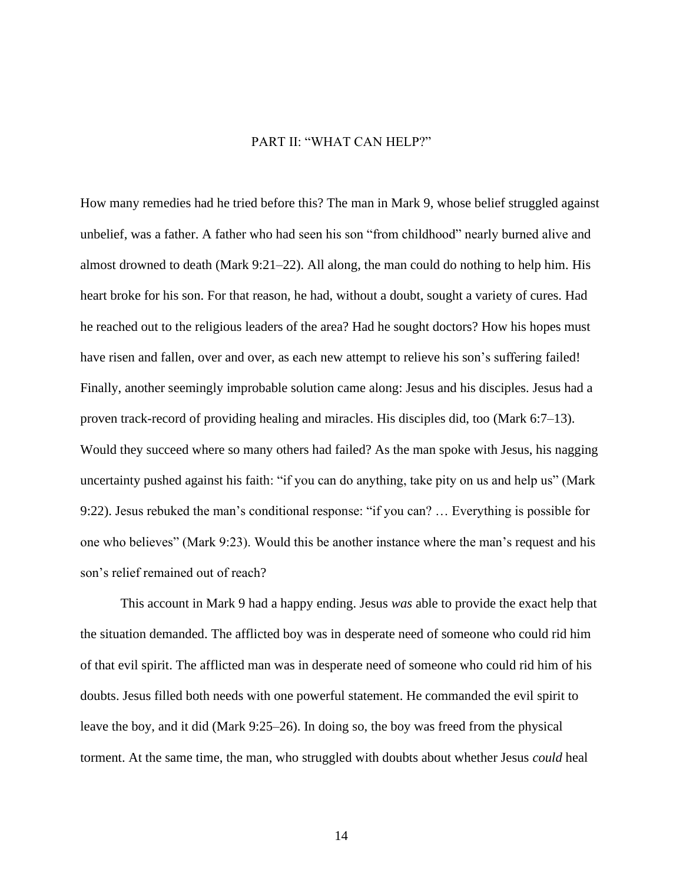# PART II: "WHAT CAN HELP?"

How many remedies had he tried before this? The man in Mark 9, whose belief struggled against unbelief, was a father. A father who had seen his son "from childhood" nearly burned alive and almost drowned to death (Mark 9:21–22). All along, the man could do nothing to help him. His heart broke for his son. For that reason, he had, without a doubt, sought a variety of cures. Had he reached out to the religious leaders of the area? Had he sought doctors? How his hopes must have risen and fallen, over and over, as each new attempt to relieve his son's suffering failed! Finally, another seemingly improbable solution came along: Jesus and his disciples. Jesus had a proven track-record of providing healing and miracles. His disciples did, too (Mark 6:7–13). Would they succeed where so many others had failed? As the man spoke with Jesus, his nagging uncertainty pushed against his faith: "if you can do anything, take pity on us and help us" (Mark 9:22). Jesus rebuked the man's conditional response: "if you can? … Everything is possible for one who believes" (Mark 9:23). Would this be another instance where the man's request and his son's relief remained out of reach?

This account in Mark 9 had a happy ending. Jesus *was* able to provide the exact help that the situation demanded. The afflicted boy was in desperate need of someone who could rid him of that evil spirit. The afflicted man was in desperate need of someone who could rid him of his doubts. Jesus filled both needs with one powerful statement. He commanded the evil spirit to leave the boy, and it did (Mark 9:25–26). In doing so, the boy was freed from the physical torment. At the same time, the man, who struggled with doubts about whether Jesus *could* heal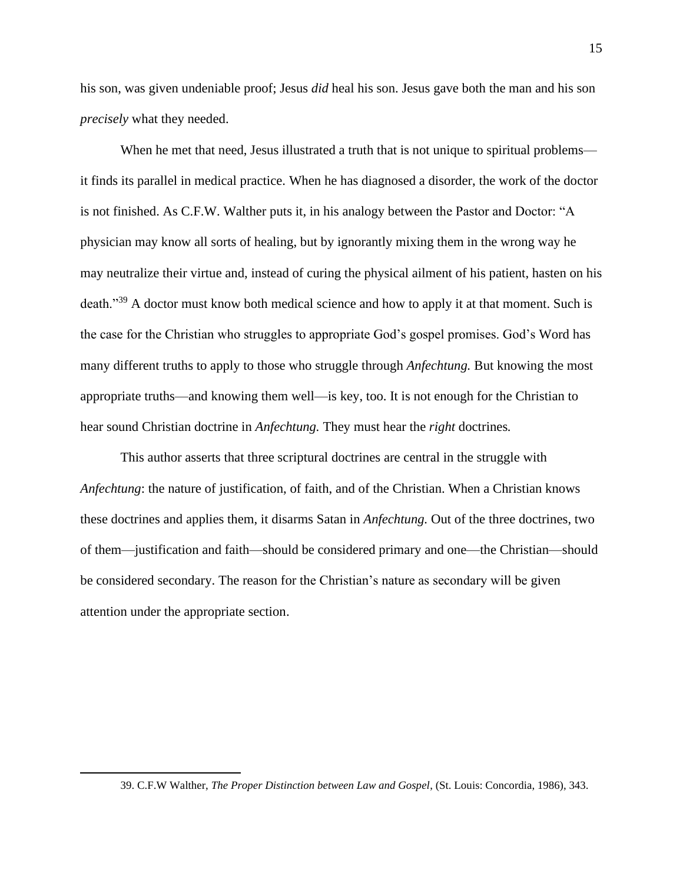his son, was given undeniable proof; Jesus *did* heal his son. Jesus gave both the man and his son *precisely* what they needed.

When he met that need, Jesus illustrated a truth that is not unique to spiritual problems it finds its parallel in medical practice. When he has diagnosed a disorder, the work of the doctor is not finished. As C.F.W. Walther puts it, in his analogy between the Pastor and Doctor: "A physician may know all sorts of healing, but by ignorantly mixing them in the wrong way he may neutralize their virtue and, instead of curing the physical ailment of his patient, hasten on his death."<sup>39</sup> A doctor must know both medical science and how to apply it at that moment. Such is the case for the Christian who struggles to appropriate God's gospel promises. God's Word has many different truths to apply to those who struggle through *Anfechtung.* But knowing the most appropriate truths—and knowing them well—is key, too. It is not enough for the Christian to hear sound Christian doctrine in *Anfechtung.* They must hear the *right* doctrines*.*

This author asserts that three scriptural doctrines are central in the struggle with *Anfechtung*: the nature of justification, of faith, and of the Christian. When a Christian knows these doctrines and applies them, it disarms Satan in *Anfechtung.* Out of the three doctrines, two of them—justification and faith—should be considered primary and one—the Christian—should be considered secondary. The reason for the Christian's nature as secondary will be given attention under the appropriate section.

<sup>39.</sup> C.F.W Walther, *The Proper Distinction between Law and Gospel*, (St. Louis: Concordia, 1986), 343.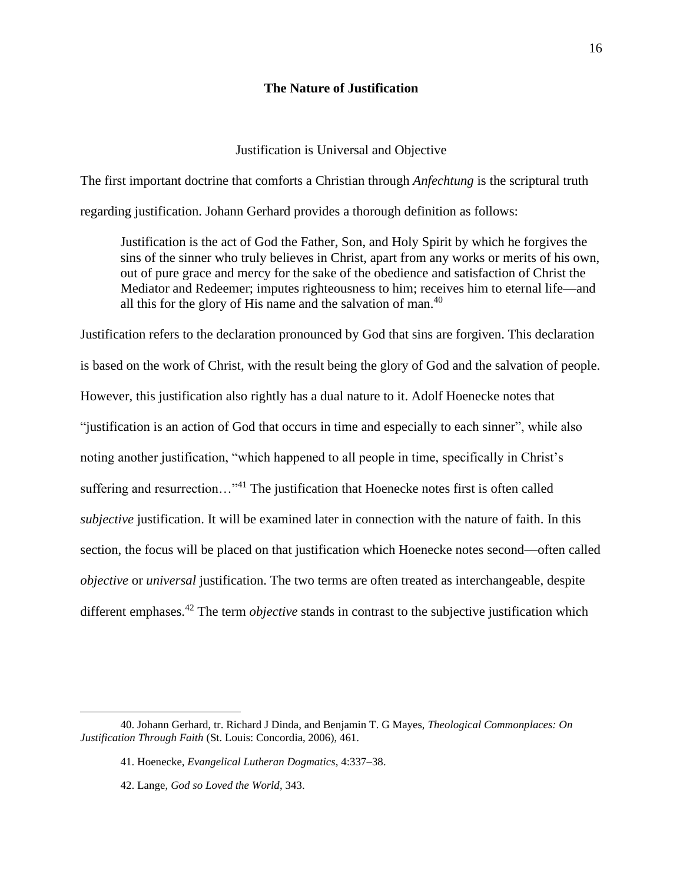# **The Nature of Justification**

# Justification is Universal and Objective

The first important doctrine that comforts a Christian through *Anfechtung* is the scriptural truth regarding justification. Johann Gerhard provides a thorough definition as follows:

Justification is the act of God the Father, Son, and Holy Spirit by which he forgives the sins of the sinner who truly believes in Christ, apart from any works or merits of his own, out of pure grace and mercy for the sake of the obedience and satisfaction of Christ the Mediator and Redeemer; imputes righteousness to him; receives him to eternal life—and all this for the glory of His name and the salvation of man.<sup>40</sup>

Justification refers to the declaration pronounced by God that sins are forgiven. This declaration is based on the work of Christ, with the result being the glory of God and the salvation of people. However, this justification also rightly has a dual nature to it. Adolf Hoenecke notes that "justification is an action of God that occurs in time and especially to each sinner", while also noting another justification, "which happened to all people in time, specifically in Christ's suffering and resurrection…"<sup>41</sup> The justification that Hoenecke notes first is often called *subjective* justification. It will be examined later in connection with the nature of faith. In this section, the focus will be placed on that justification which Hoenecke notes second—often called *objective* or *universal* justification. The two terms are often treated as interchangeable, despite different emphases. <sup>42</sup> The term *objective* stands in contrast to the subjective justification which

<sup>40.</sup> Johann Gerhard, tr. Richard J Dinda, and Benjamin T. G Mayes, *Theological Commonplaces: On Justification Through Faith* (St. Louis: Concordia, 2006), 461.

<sup>41.</sup> Hoenecke, *Evangelical Lutheran Dogmatics*, 4:337–38.

<sup>42.</sup> Lange, *God so Loved the World*, 343.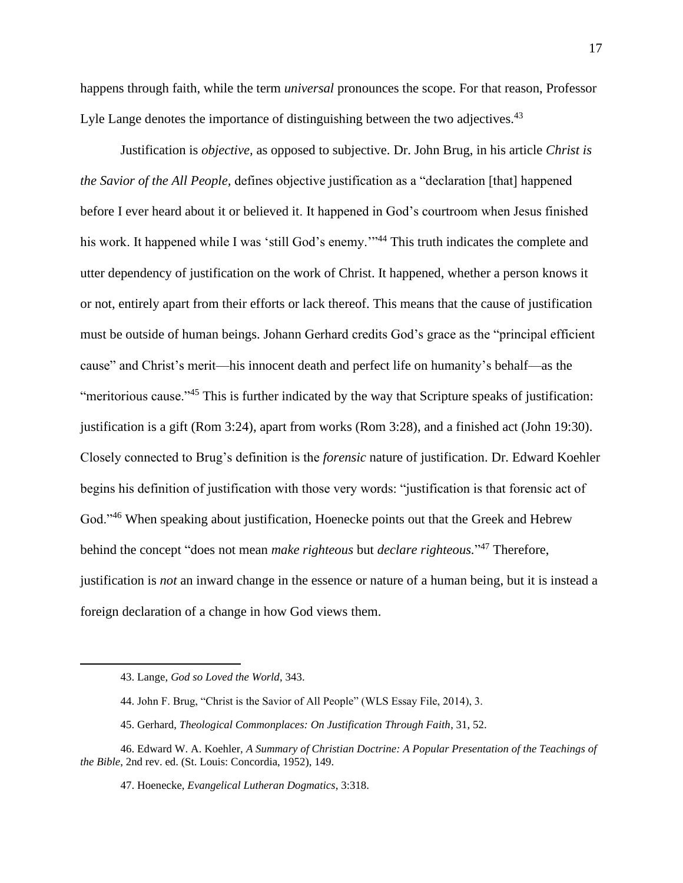happens through faith, while the term *universal* pronounces the scope. For that reason, Professor Lyle Lange denotes the importance of distinguishing between the two adjectives.<sup>43</sup>

Justification is *objective,* as opposed to subjective. Dr. John Brug, in his article *Christ is the Savior of the All People,* defines objective justification as a "declaration [that] happened before I ever heard about it or believed it. It happened in God's courtroom when Jesus finished his work. It happened while I was 'still God's enemy."<sup>44</sup> This truth indicates the complete and utter dependency of justification on the work of Christ. It happened, whether a person knows it or not, entirely apart from their efforts or lack thereof. This means that the cause of justification must be outside of human beings. Johann Gerhard credits God's grace as the "principal efficient cause" and Christ's merit—his innocent death and perfect life on humanity's behalf—as the "meritorious cause."<sup>45</sup> This is further indicated by the way that Scripture speaks of justification: justification is a gift (Rom 3:24), apart from works (Rom 3:28), and a finished act (John 19:30). Closely connected to Brug's definition is the *forensic* nature of justification. Dr. Edward Koehler begins his definition of justification with those very words: "justification is that forensic act of God."<sup>46</sup> When speaking about justification, Hoenecke points out that the Greek and Hebrew behind the concept "does not mean *make righteous* but *declare righteous.*" <sup>47</sup> Therefore, justification is *not* an inward change in the essence or nature of a human being, but it is instead a foreign declaration of a change in how God views them.

<sup>43.</sup> Lange, *God so Loved the World*, 343.

<sup>44.</sup> John F. Brug, "Christ is the Savior of All People" (WLS Essay File, 2014), 3.

<sup>45.</sup> Gerhard, *Theological Commonplaces: On Justification Through Faith*, 31, 52.

<sup>46.</sup> Edward W. A. Koehler, *A Summary of Christian Doctrine: A Popular Presentation of the Teachings of the Bible*, 2nd rev. ed. (St. Louis: Concordia, 1952), 149.

<sup>47.</sup> Hoenecke, *Evangelical Lutheran Dogmatics*, 3:318.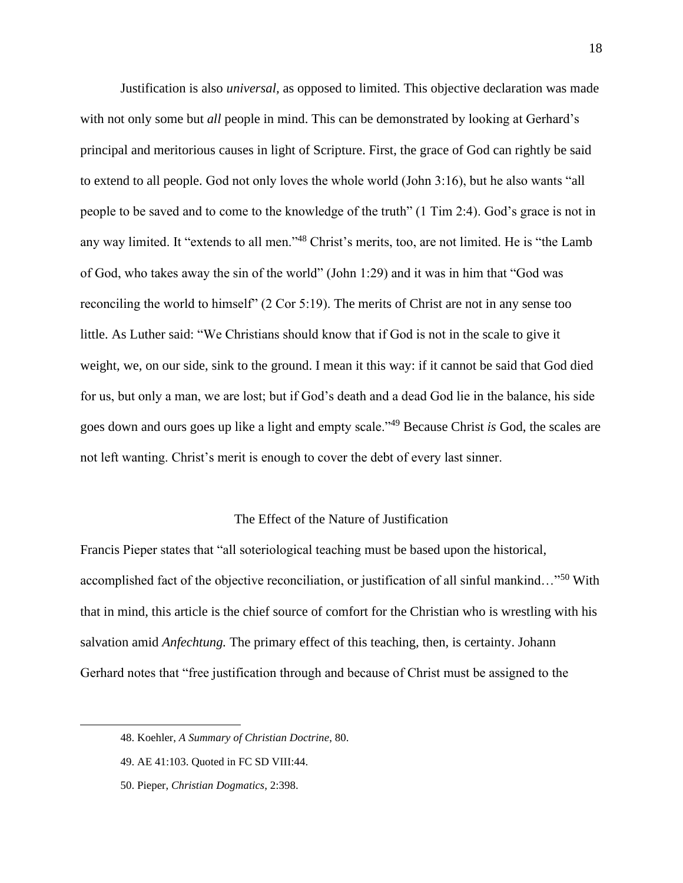Justification is also *universal,* as opposed to limited. This objective declaration was made with not only some but *all* people in mind. This can be demonstrated by looking at Gerhard's principal and meritorious causes in light of Scripture. First, the grace of God can rightly be said to extend to all people. God not only loves the whole world (John 3:16), but he also wants "all people to be saved and to come to the knowledge of the truth" (1 Tim 2:4). God's grace is not in any way limited. It "extends to all men."<sup>48</sup> Christ's merits, too, are not limited. He is "the Lamb of God, who takes away the sin of the world" (John 1:29) and it was in him that "God was reconciling the world to himself" (2 Cor 5:19). The merits of Christ are not in any sense too little. As Luther said: "We Christians should know that if God is not in the scale to give it weight, we, on our side, sink to the ground. I mean it this way: if it cannot be said that God died for us, but only a man, we are lost; but if God's death and a dead God lie in the balance, his side goes down and ours goes up like a light and empty scale."<sup>49</sup> Because Christ *is* God, the scales are not left wanting. Christ's merit is enough to cover the debt of every last sinner.

#### The Effect of the Nature of Justification

Francis Pieper states that "all soteriological teaching must be based upon the historical, accomplished fact of the objective reconciliation, or justification of all sinful mankind…"<sup>50</sup> With that in mind, this article is the chief source of comfort for the Christian who is wrestling with his salvation amid *Anfechtung.* The primary effect of this teaching, then, is certainty. Johann Gerhard notes that "free justification through and because of Christ must be assigned to the

<sup>48.</sup> Koehler, *A Summary of Christian Doctrine*, 80.

<sup>49.</sup> AE 41:103. Quoted in FC SD VIII:44.

<sup>50.</sup> Pieper, *Christian Dogmatics*, 2:398.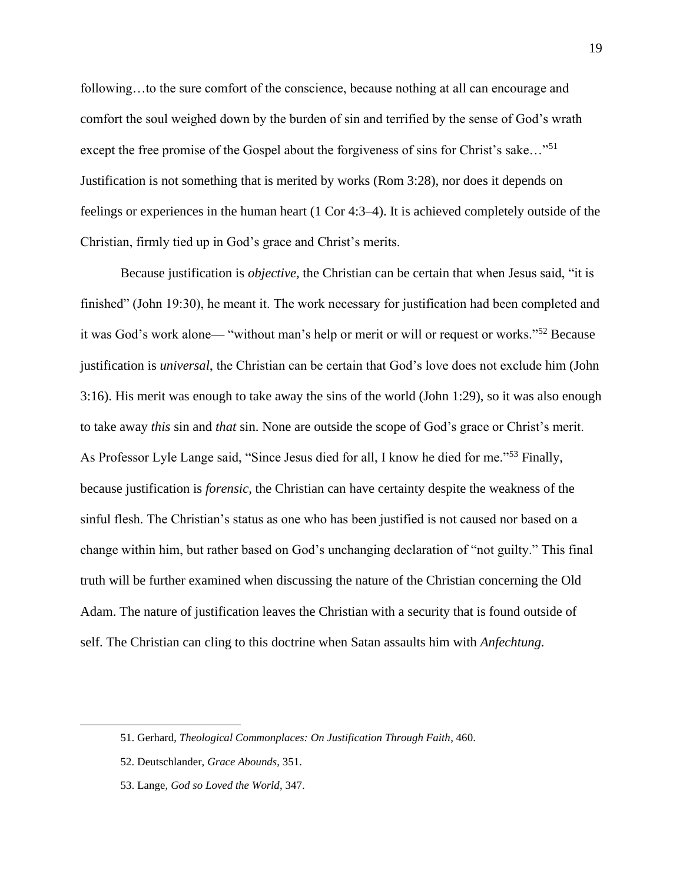following...to the sure comfort of the conscience, because nothing at all can encourage and comfort the soul weighed down by the burden of sin and terrified by the sense of God's wrath except the free promise of the Gospel about the forgiveness of sins for Christ's sake..."<sup>51</sup> Justification is not something that is merited by works (Rom 3:28), nor does it depends on feelings or experiences in the human heart (1 Cor 4:3–4). It is achieved completely outside of the Christian, firmly tied up in God's grace and Christ's merits.

Because justification is *objective,* the Christian can be certain that when Jesus said, "it is finished" (John 19:30), he meant it. The work necessary for justification had been completed and it was God's work alone— "without man's help or merit or will or request or works."<sup>52</sup> Because justification is *universal*, the Christian can be certain that God's love does not exclude him (John 3:16). His merit was enough to take away the sins of the world (John 1:29), so it was also enough to take away *this* sin and *that* sin. None are outside the scope of God's grace or Christ's merit. As Professor Lyle Lange said, "Since Jesus died for all, I know he died for me."<sup>53</sup> Finally, because justification is *forensic,* the Christian can have certainty despite the weakness of the sinful flesh. The Christian's status as one who has been justified is not caused nor based on a change within him, but rather based on God's unchanging declaration of "not guilty." This final truth will be further examined when discussing the nature of the Christian concerning the Old Adam. The nature of justification leaves the Christian with a security that is found outside of self. The Christian can cling to this doctrine when Satan assaults him with *Anfechtung.* 

<sup>51.</sup> Gerhard, *Theological Commonplaces: On Justification Through Faith*, 460.

<sup>52.</sup> Deutschlander, *Grace Abounds*, 351.

<sup>53.</sup> Lange, *God so Loved the World*, 347.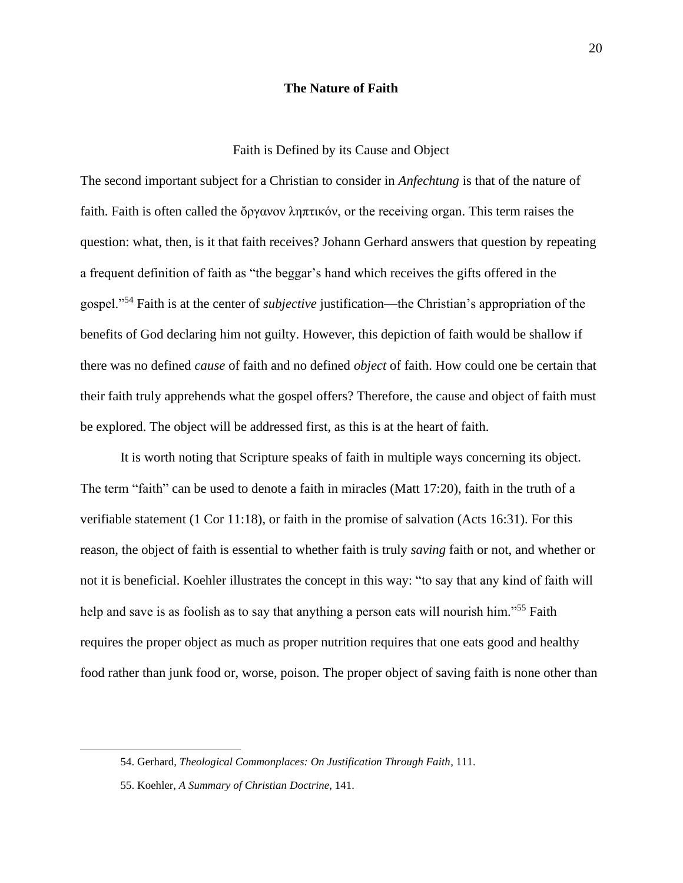#### **The Nature of Faith**

# Faith is Defined by its Cause and Object

The second important subject for a Christian to consider in *Anfechtung* is that of the nature of faith. Faith is often called the ὄργανον ληπτικόν, or the receiving organ. This term raises the question: what, then, is it that faith receives? Johann Gerhard answers that question by repeating a frequent definition of faith as "the beggar's hand which receives the gifts offered in the gospel."<sup>54</sup> Faith is at the center of *subjective* justification—the Christian's appropriation of the benefits of God declaring him not guilty. However, this depiction of faith would be shallow if there was no defined *cause* of faith and no defined *object* of faith. How could one be certain that their faith truly apprehends what the gospel offers? Therefore, the cause and object of faith must be explored. The object will be addressed first, as this is at the heart of faith.

It is worth noting that Scripture speaks of faith in multiple ways concerning its object. The term "faith" can be used to denote a faith in miracles (Matt 17:20), faith in the truth of a verifiable statement (1 Cor 11:18), or faith in the promise of salvation (Acts 16:31). For this reason, the object of faith is essential to whether faith is truly *saving* faith or not, and whether or not it is beneficial. Koehler illustrates the concept in this way: "to say that any kind of faith will help and save is as foolish as to say that anything a person eats will nourish him."<sup>55</sup> Faith requires the proper object as much as proper nutrition requires that one eats good and healthy food rather than junk food or, worse, poison. The proper object of saving faith is none other than

<sup>54.</sup> Gerhard, *Theological Commonplaces: On Justification Through Faith*, 111.

<sup>55.</sup> Koehler, *A Summary of Christian Doctrine*, 141.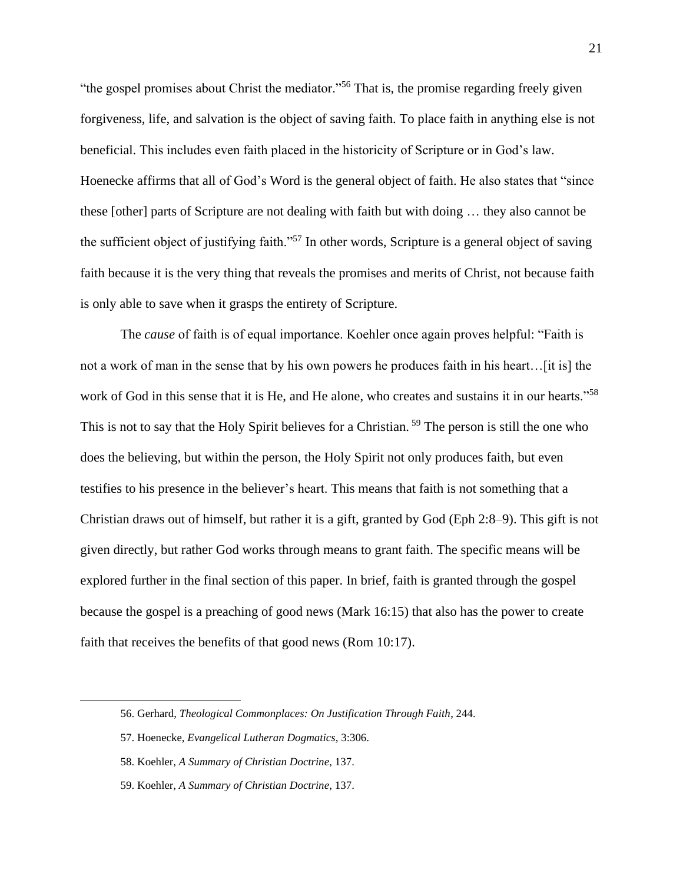"the gospel promises about Christ the mediator."<sup>56</sup> That is, the promise regarding freely given forgiveness, life, and salvation is the object of saving faith. To place faith in anything else is not beneficial. This includes even faith placed in the historicity of Scripture or in God's law. Hoenecke affirms that all of God's Word is the general object of faith. He also states that "since these [other] parts of Scripture are not dealing with faith but with doing … they also cannot be the sufficient object of justifying faith."<sup>57</sup> In other words, Scripture is a general object of saving faith because it is the very thing that reveals the promises and merits of Christ, not because faith is only able to save when it grasps the entirety of Scripture.

The *cause* of faith is of equal importance. Koehler once again proves helpful: "Faith is not a work of man in the sense that by his own powers he produces faith in his heart... [it is] the work of God in this sense that it is He, and He alone, who creates and sustains it in our hearts."<sup>58</sup> This is not to say that the Holy Spirit believes for a Christian.<sup>59</sup> The person is still the one who does the believing, but within the person, the Holy Spirit not only produces faith, but even testifies to his presence in the believer's heart. This means that faith is not something that a Christian draws out of himself, but rather it is a gift, granted by God (Eph 2:8–9). This gift is not given directly, but rather God works through means to grant faith. The specific means will be explored further in the final section of this paper. In brief, faith is granted through the gospel because the gospel is a preaching of good news (Mark 16:15) that also has the power to create faith that receives the benefits of that good news (Rom 10:17).

<sup>56.</sup> Gerhard, *Theological Commonplaces: On Justification Through Faith*, 244.

<sup>57.</sup> Hoenecke, *Evangelical Lutheran Dogmatics*, 3:306.

<sup>58.</sup> Koehler, *A Summary of Christian Doctrine*, 137.

<sup>59.</sup> Koehler, *A Summary of Christian Doctrine*, 137.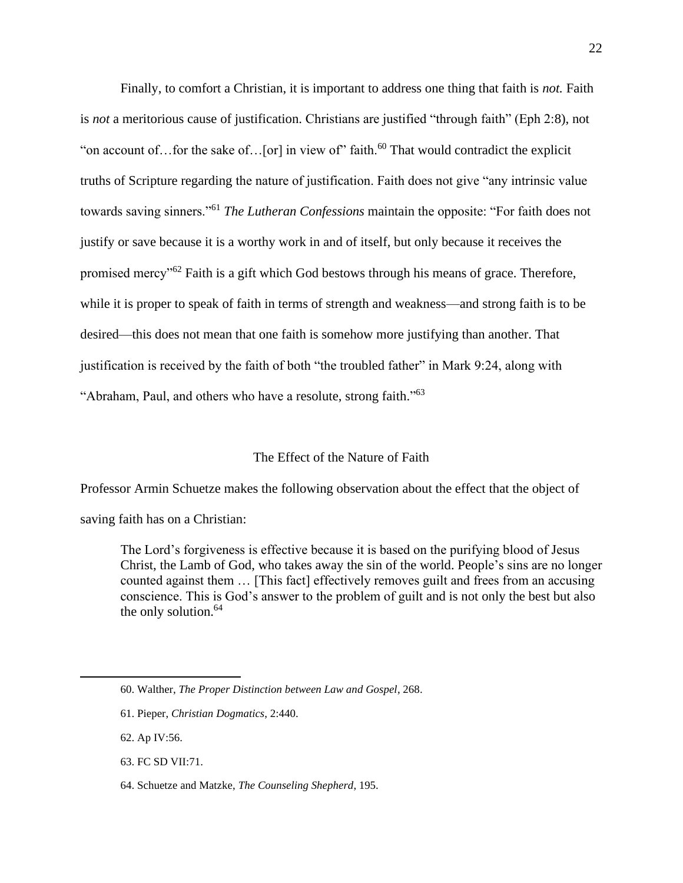Finally, to comfort a Christian, it is important to address one thing that faith is *not.* Faith is *not* a meritorious cause of justification. Christians are justified "through faith" (Eph 2:8), not "on account of... for the sake of... [or] in view of" faith.<sup>60</sup> That would contradict the explicit truths of Scripture regarding the nature of justification. Faith does not give "any intrinsic value towards saving sinners."<sup>61</sup> *The Lutheran Confessions* maintain the opposite: "For faith does not justify or save because it is a worthy work in and of itself, but only because it receives the promised mercy"<sup>62</sup> Faith is a gift which God bestows through his means of grace. Therefore, while it is proper to speak of faith in terms of strength and weakness—and strong faith is to be desired—this does not mean that one faith is somehow more justifying than another. That justification is received by the faith of both "the troubled father" in Mark 9:24, along with "Abraham, Paul, and others who have a resolute, strong faith."<sup>63</sup>

# The Effect of the Nature of Faith

Professor Armin Schuetze makes the following observation about the effect that the object of saving faith has on a Christian:

The Lord's forgiveness is effective because it is based on the purifying blood of Jesus Christ, the Lamb of God, who takes away the sin of the world. People's sins are no longer counted against them … [This fact] effectively removes guilt and frees from an accusing conscience. This is God's answer to the problem of guilt and is not only the best but also the only solution. $64$ 

63. FC SD VII:71.

<sup>60.</sup> Walther, *The Proper Distinction between Law and Gospel*, 268.

<sup>61.</sup> Pieper, *Christian Dogmatics*, 2:440.

<sup>62.</sup> Ap IV:56.

<sup>64.</sup> Schuetze and Matzke, *The Counseling Shepherd*, 195.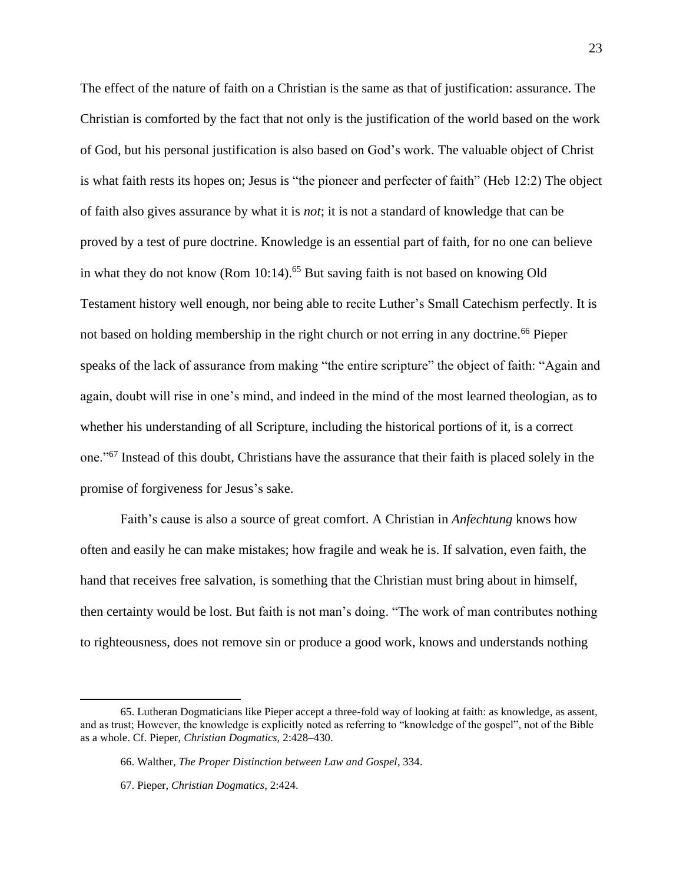The effect of the nature of faith on a Christian is the same as that of justification: assurance. The Christian is comforted by the fact that not only is the justification of the world based on the work of God, but his personal justification is also based on God's work. The valuable object of Christ is what faith rests its hopes on; Jesus is "the pioneer and perfecter of faith" (Heb 12:2) The object of faith also gives assurance by what it is *not*; it is not a standard of knowledge that can be proved by a test of pure doctrine. Knowledge is an essential part of faith, for no one can believe in what they do not know (Rom  $10:14$ ).<sup>65</sup> But saving faith is not based on knowing Old Testament history well enough, nor being able to recite Luther's Small Catechism perfectly. It is not based on holding membership in the right church or not erring in any doctrine.<sup>66</sup> Pieper speaks of the lack of assurance from making "the entire scripture" the object of faith: "Again and again, doubt will rise in one's mind, and indeed in the mind of the most learned theologian, as to whether his understanding of all Scripture, including the historical portions of it, is a correct one."<sup>67</sup> Instead of this doubt, Christians have the assurance that their faith is placed solely in the promise of forgiveness for Jesus's sake.

Faith's cause is also a source of great comfort. A Christian in *Anfechtung* knows how often and easily he can make mistakes; how fragile and weak he is. If salvation, even faith, the hand that receives free salvation, is something that the Christian must bring about in himself, then certainty would be lost. But faith is not man's doing. "The work of man contributes nothing to righteousness, does not remove sin or produce a good work, knows and understands nothing

<sup>65.</sup> Lutheran Dogmaticians like Pieper accept a three-fold way of looking at faith: as knowledge, as assent, and as trust; However, the knowledge is explicitly noted as referring to "knowledge of the gospel", not of the Bible as a whole. Cf. Pieper, *Christian Dogmatics,* 2:428–430.

<sup>66.</sup> Walther, *The Proper Distinction between Law and Gospel*, 334.

<sup>67.</sup> Pieper, *Christian Dogmatics*, 2:424.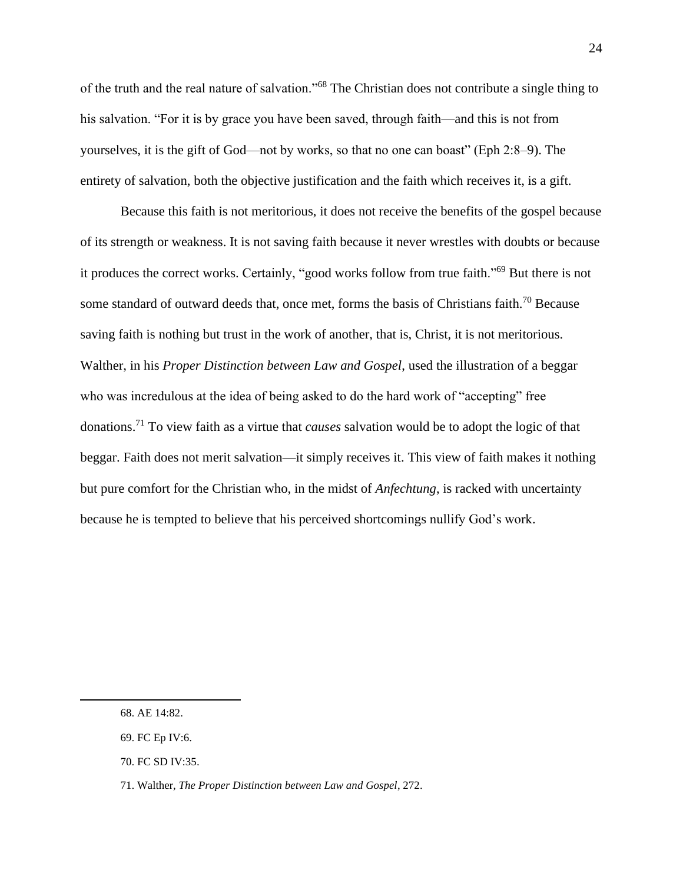of the truth and the real nature of salvation."<sup>68</sup> The Christian does not contribute a single thing to his salvation. "For it is by grace you have been saved, through faith—and this is not from yourselves, it is the gift of God—not by works, so that no one can boast" (Eph 2:8–9). The entirety of salvation, both the objective justification and the faith which receives it, is a gift.

Because this faith is not meritorious, it does not receive the benefits of the gospel because of its strength or weakness. It is not saving faith because it never wrestles with doubts or because it produces the correct works. Certainly, "good works follow from true faith."<sup>69</sup> But there is not some standard of outward deeds that, once met, forms the basis of Christians faith.<sup>70</sup> Because saving faith is nothing but trust in the work of another, that is, Christ, it is not meritorious. Walther, in his *Proper Distinction between Law and Gospel*, used the illustration of a beggar who was incredulous at the idea of being asked to do the hard work of "accepting" free donations.<sup>71</sup> To view faith as a virtue that *causes* salvation would be to adopt the logic of that beggar. Faith does not merit salvation—it simply receives it. This view of faith makes it nothing but pure comfort for the Christian who, in the midst of *Anfechtung*, is racked with uncertainty because he is tempted to believe that his perceived shortcomings nullify God's work.

<sup>68.</sup> AE 14:82.

<sup>69.</sup> FC Ep IV:6.

<sup>70.</sup> FC SD IV:35.

<sup>71.</sup> Walther, *The Proper Distinction between Law and Gospel*, 272.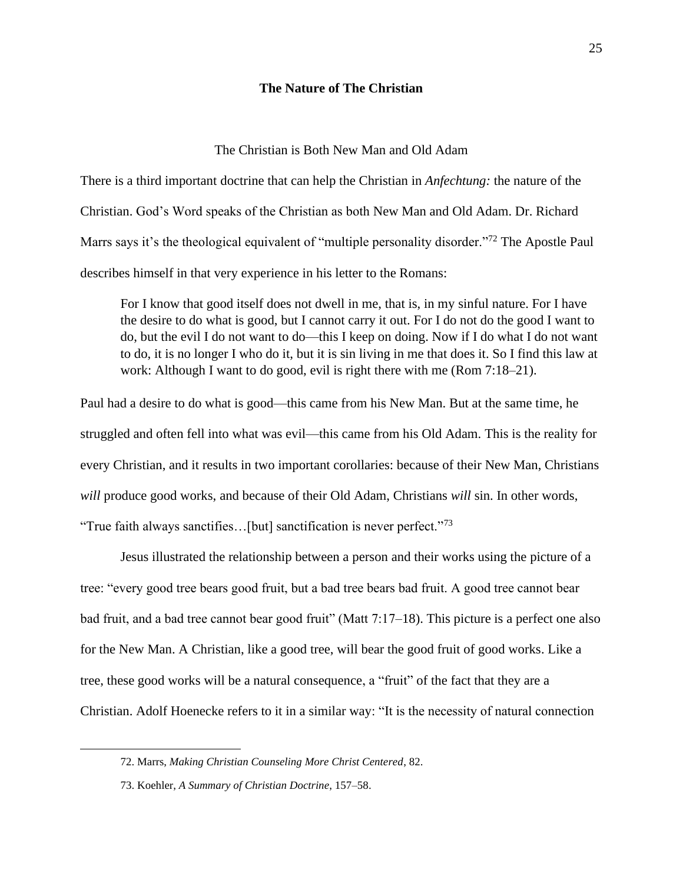#### **The Nature of The Christian**

#### The Christian is Both New Man and Old Adam

There is a third important doctrine that can help the Christian in *Anfechtung:* the nature of the Christian. God's Word speaks of the Christian as both New Man and Old Adam. Dr. Richard Marrs says it's the theological equivalent of "multiple personality disorder."<sup>72</sup> The Apostle Paul describes himself in that very experience in his letter to the Romans:

For I know that good itself does not dwell in me, that is, in my sinful nature. For I have the desire to do what is good, but I cannot carry it out. For I do not do the good I want to do, but the evil I do not want to do—this I keep on doing. Now if I do what I do not want to do, it is no longer I who do it, but it is sin living in me that does it. So I find this law at work: Although I want to do good, evil is right there with me (Rom 7:18–21).

Paul had a desire to do what is good—this came from his New Man. But at the same time, he struggled and often fell into what was evil—this came from his Old Adam. This is the reality for every Christian, and it results in two important corollaries: because of their New Man, Christians *will* produce good works, and because of their Old Adam, Christians *will* sin. In other words, "True faith always sanctifies...[but] sanctification is never perfect."<sup>73</sup>

Jesus illustrated the relationship between a person and their works using the picture of a tree: "every good tree bears good fruit, but a bad tree bears bad fruit. A good tree cannot bear bad fruit, and a bad tree cannot bear good fruit" (Matt 7:17–18). This picture is a perfect one also for the New Man. A Christian, like a good tree, will bear the good fruit of good works. Like a tree, these good works will be a natural consequence, a "fruit" of the fact that they are a Christian. Adolf Hoenecke refers to it in a similar way: "It is the necessity of natural connection

<sup>72.</sup> Marrs, *Making Christian Counseling More Christ Centered*, 82.

<sup>73.</sup> Koehler, *A Summary of Christian Doctrine*, 157–58.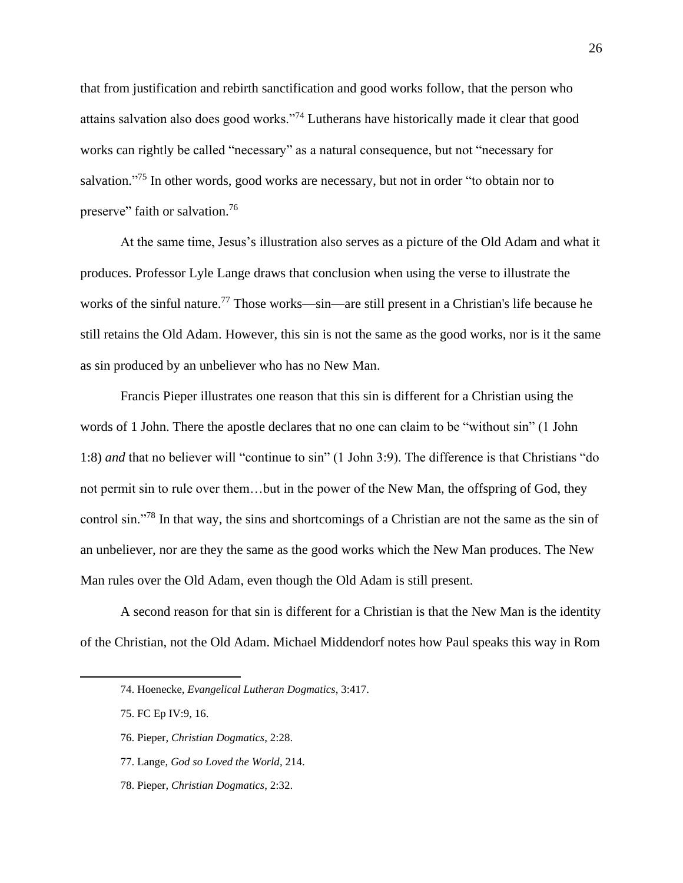that from justification and rebirth sanctification and good works follow, that the person who attains salvation also does good works."<sup>74</sup> Lutherans have historically made it clear that good works can rightly be called "necessary" as a natural consequence, but not "necessary for salvation."<sup>75</sup> In other words, good works are necessary, but not in order "to obtain nor to preserve" faith or salvation.<sup>76</sup>

At the same time, Jesus's illustration also serves as a picture of the Old Adam and what it produces. Professor Lyle Lange draws that conclusion when using the verse to illustrate the works of the sinful nature.<sup>77</sup> Those works—sin—are still present in a Christian's life because he still retains the Old Adam. However, this sin is not the same as the good works, nor is it the same as sin produced by an unbeliever who has no New Man.

Francis Pieper illustrates one reason that this sin is different for a Christian using the words of 1 John. There the apostle declares that no one can claim to be "without sin" (1 John 1:8) *and* that no believer will "continue to sin" (1 John 3:9). The difference is that Christians "do not permit sin to rule over them…but in the power of the New Man, the offspring of God, they control sin."<sup>78</sup> In that way, the sins and shortcomings of a Christian are not the same as the sin of an unbeliever, nor are they the same as the good works which the New Man produces. The New Man rules over the Old Adam, even though the Old Adam is still present.

A second reason for that sin is different for a Christian is that the New Man is the identity of the Christian, not the Old Adam. Michael Middendorf notes how Paul speaks this way in Rom

- 77. Lange, *God so Loved the World*, 214.
- 78. Pieper, *Christian Dogmatics*, 2:32.

<sup>74.</sup> Hoenecke, *Evangelical Lutheran Dogmatics*, 3:417.

<sup>75.</sup> FC Ep IV:9, 16.

<sup>76.</sup> Pieper, *Christian Dogmatics*, 2:28.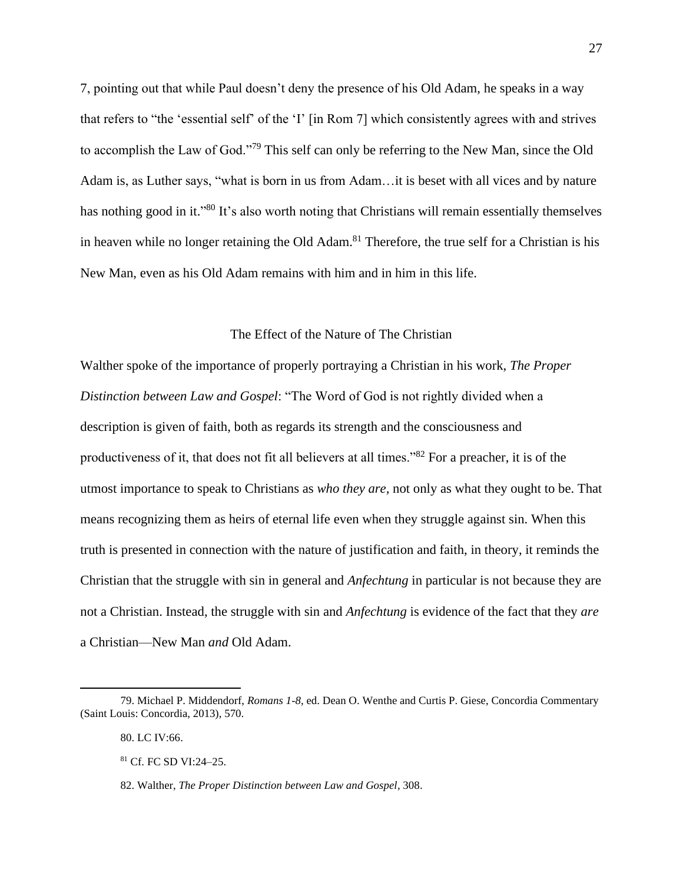7, pointing out that while Paul doesn't deny the presence of his Old Adam, he speaks in a way that refers to "the 'essential self' of the 'I' [in Rom 7] which consistently agrees with and strives to accomplish the Law of God."<sup>79</sup> This self can only be referring to the New Man, since the Old Adam is, as Luther says, "what is born in us from Adam…it is beset with all vices and by nature has nothing good in it."<sup>80</sup> It's also worth noting that Christians will remain essentially themselves in heaven while no longer retaining the Old Adam. <sup>81</sup> Therefore, the true self for a Christian is his New Man, even as his Old Adam remains with him and in him in this life.

#### The Effect of the Nature of The Christian

Walther spoke of the importance of properly portraying a Christian in his work, *The Proper Distinction between Law and Gospel*: "The Word of God is not rightly divided when a description is given of faith, both as regards its strength and the consciousness and productiveness of it, that does not fit all believers at all times."<sup>82</sup> For a preacher, it is of the utmost importance to speak to Christians as *who they are,* not only as what they ought to be. That means recognizing them as heirs of eternal life even when they struggle against sin. When this truth is presented in connection with the nature of justification and faith, in theory, it reminds the Christian that the struggle with sin in general and *Anfechtung* in particular is not because they are not a Christian. Instead, the struggle with sin and *Anfechtung* is evidence of the fact that they *are*  a Christian—New Man *and* Old Adam.

<sup>79.</sup> Michael P. Middendorf, *Romans 1-8*, ed. Dean O. Wenthe and Curtis P. Giese, Concordia Commentary (Saint Louis: Concordia, 2013), 570.

<sup>80.</sup> LC IV:66.

<sup>81</sup> Cf. FC SD VI:24–25.

<sup>82.</sup> Walther, *The Proper Distinction between Law and Gospel*, 308.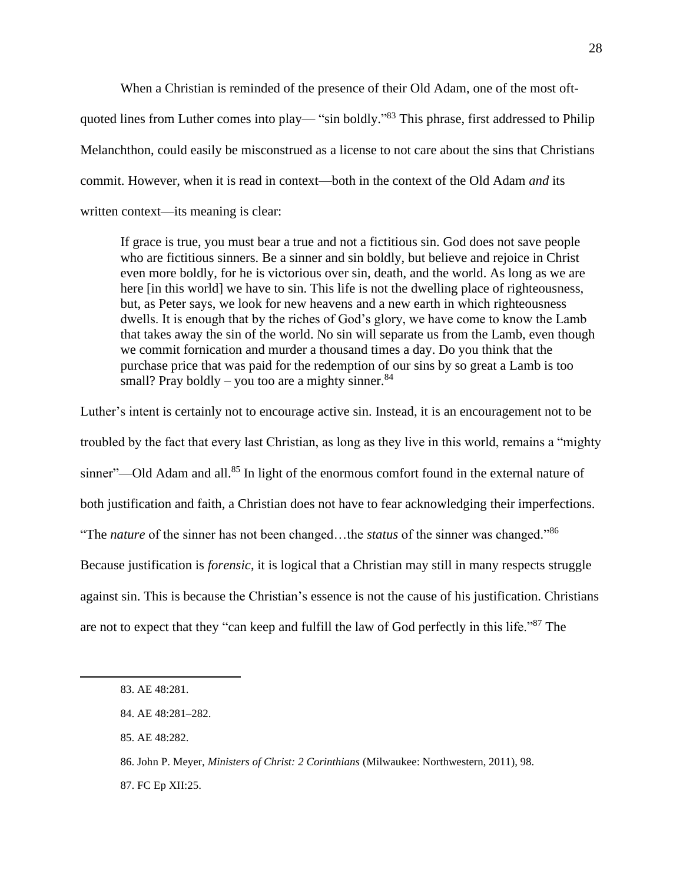When a Christian is reminded of the presence of their Old Adam, one of the most oftquoted lines from Luther comes into play— "sin boldly."<sup>83</sup> This phrase, first addressed to Philip Melanchthon, could easily be misconstrued as a license to not care about the sins that Christians commit. However, when it is read in context—both in the context of the Old Adam *and* its written context—its meaning is clear:

If grace is true, you must bear a true and not a fictitious sin. God does not save people who are fictitious sinners. Be a sinner and sin boldly, but believe and rejoice in Christ even more boldly, for he is victorious over sin, death, and the world. As long as we are here [in this world] we have to sin. This life is not the dwelling place of righteousness, but, as Peter says, we look for new heavens and a new earth in which righteousness dwells. It is enough that by the riches of God's glory, we have come to know the Lamb that takes away the sin of the world. No sin will separate us from the Lamb, even though we commit fornication and murder a thousand times a day. Do you think that the purchase price that was paid for the redemption of our sins by so great a Lamb is too small? Pray boldly – you too are a mighty sinner.  $84$ 

Luther's intent is certainly not to encourage active sin. Instead, it is an encouragement not to be troubled by the fact that every last Christian, as long as they live in this world, remains a "mighty sinner"—Old Adam and all.<sup>85</sup> In light of the enormous comfort found in the external nature of both justification and faith, a Christian does not have to fear acknowledging their imperfections. "The *nature* of the sinner has not been changed…the *status* of the sinner was changed."<sup>86</sup> Because justification is *forensic*, it is logical that a Christian may still in many respects struggle against sin. This is because the Christian's essence is not the cause of his justification. Christians are not to expect that they "can keep and fulfill the law of God perfectly in this life."<sup>87</sup> The

<sup>83.</sup> AE 48:281.

<sup>84.</sup> AE 48:281–282.

<sup>85.</sup> AE 48:282.

<sup>86.</sup> John P. Meyer, *Ministers of Christ: 2 Corinthians* (Milwaukee: Northwestern, 2011), 98.

<sup>87.</sup> FC Ep XII:25.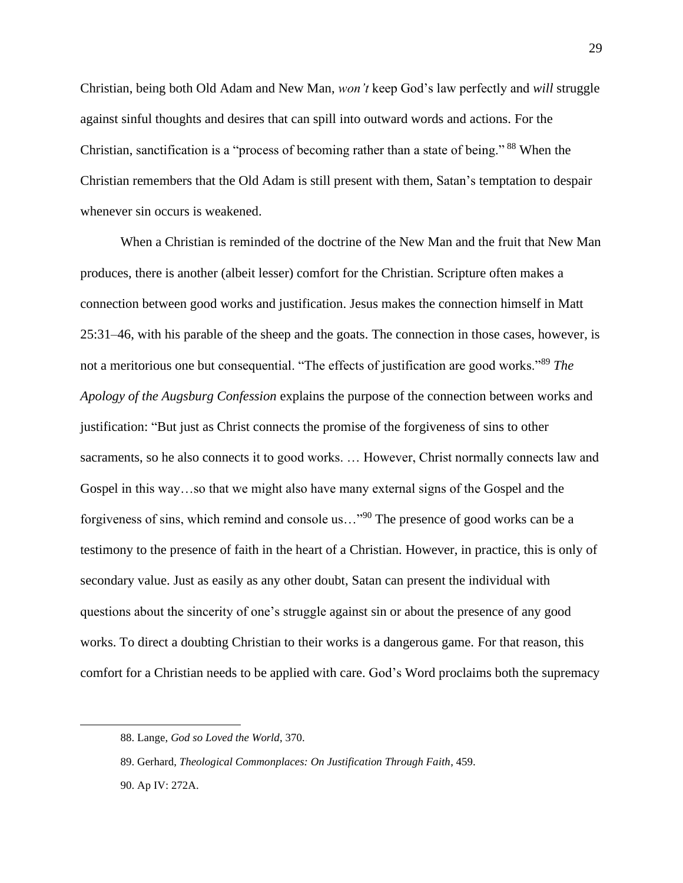Christian, being both Old Adam and New Man, *won't* keep God's law perfectly and *will* struggle against sinful thoughts and desires that can spill into outward words and actions. For the Christian, sanctification is a "process of becoming rather than a state of being." <sup>88</sup> When the Christian remembers that the Old Adam is still present with them, Satan's temptation to despair whenever sin occurs is weakened.

When a Christian is reminded of the doctrine of the New Man and the fruit that New Man produces, there is another (albeit lesser) comfort for the Christian. Scripture often makes a connection between good works and justification. Jesus makes the connection himself in Matt 25:31–46, with his parable of the sheep and the goats. The connection in those cases, however, is not a meritorious one but consequential. "The effects of justification are good works."<sup>89</sup> *The Apology of the Augsburg Confession* explains the purpose of the connection between works and justification: "But just as Christ connects the promise of the forgiveness of sins to other sacraments, so he also connects it to good works. … However, Christ normally connects law and Gospel in this way…so that we might also have many external signs of the Gospel and the forgiveness of sins, which remind and console us…"<sup>90</sup> The presence of good works can be a testimony to the presence of faith in the heart of a Christian. However, in practice, this is only of secondary value. Just as easily as any other doubt, Satan can present the individual with questions about the sincerity of one's struggle against sin or about the presence of any good works. To direct a doubting Christian to their works is a dangerous game. For that reason, this comfort for a Christian needs to be applied with care. God's Word proclaims both the supremacy

<sup>88.</sup> Lange, *God so Loved the World*, 370.

<sup>89.</sup> Gerhard, *Theological Commonplaces: On Justification Through Faith*, 459.

<sup>90.</sup> Ap IV: 272A.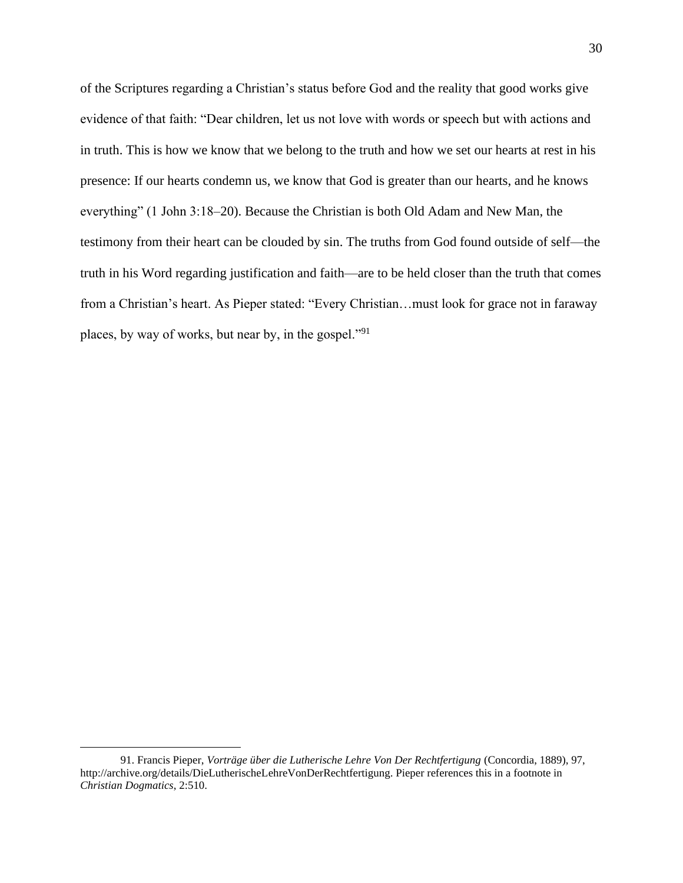of the Scriptures regarding a Christian's status before God and the reality that good works give evidence of that faith: "Dear children, let us not love with words or speech but with actions and in truth. This is how we know that we belong to the truth and how we set our hearts at rest in his presence: If our hearts condemn us, we know that God is greater than our hearts, and he knows everything" (1 John 3:18–20). Because the Christian is both Old Adam and New Man, the testimony from their heart can be clouded by sin. The truths from God found outside of self—the truth in his Word regarding justification and faith—are to be held closer than the truth that comes from a Christian's heart. As Pieper stated: "Every Christian…must look for grace not in faraway places, by way of works, but near by, in the gospel."<sup>91</sup>

<sup>91.</sup> Francis Pieper, *Vorträge über die Lutherische Lehre Von Der Rechtfertigung* (Concordia, 1889), 97, http://archive.org/details/DieLutherischeLehreVonDerRechtfertigung. Pieper references this in a footnote in *Christian Dogmatics*, 2:510.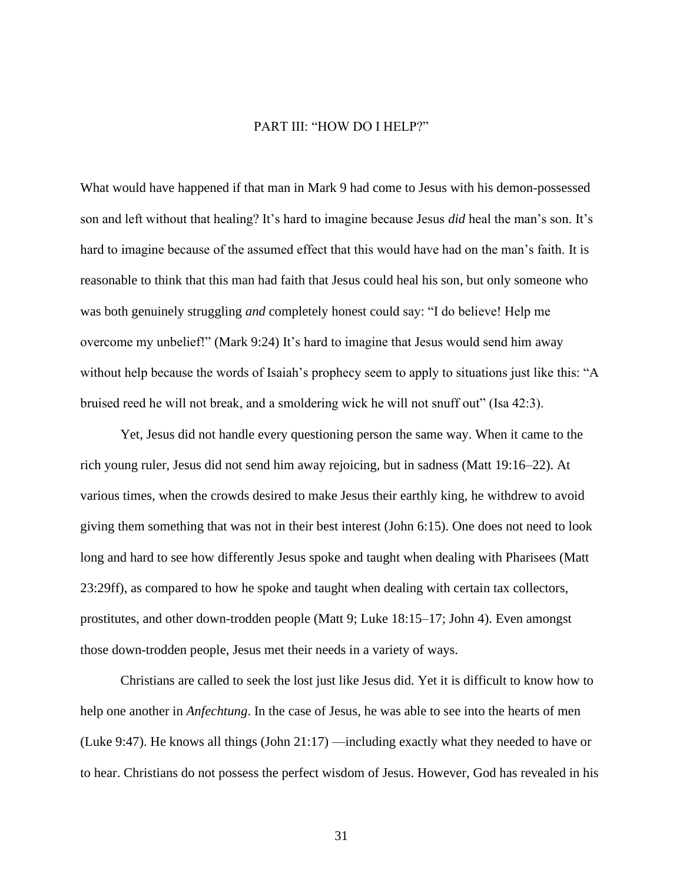#### PART III: "HOW DO I HELP?"

What would have happened if that man in Mark 9 had come to Jesus with his demon-possessed son and left without that healing? It's hard to imagine because Jesus *did* heal the man's son. It's hard to imagine because of the assumed effect that this would have had on the man's faith. It is reasonable to think that this man had faith that Jesus could heal his son, but only someone who was both genuinely struggling *and* completely honest could say: "I do believe! Help me overcome my unbelief!" (Mark 9:24) It's hard to imagine that Jesus would send him away without help because the words of Isaiah's prophecy seem to apply to situations just like this: "A bruised reed he will not break, and a smoldering wick he will not snuff out" (Isa 42:3).

Yet, Jesus did not handle every questioning person the same way. When it came to the rich young ruler, Jesus did not send him away rejoicing, but in sadness (Matt 19:16–22). At various times, when the crowds desired to make Jesus their earthly king, he withdrew to avoid giving them something that was not in their best interest (John 6:15). One does not need to look long and hard to see how differently Jesus spoke and taught when dealing with Pharisees (Matt 23:29ff), as compared to how he spoke and taught when dealing with certain tax collectors, prostitutes, and other down-trodden people (Matt 9; Luke 18:15–17; John 4). Even amongst those down-trodden people, Jesus met their needs in a variety of ways.

Christians are called to seek the lost just like Jesus did. Yet it is difficult to know how to help one another in *Anfechtung*. In the case of Jesus, he was able to see into the hearts of men (Luke 9:47). He knows all things (John 21:17) —including exactly what they needed to have or to hear. Christians do not possess the perfect wisdom of Jesus. However, God has revealed in his

31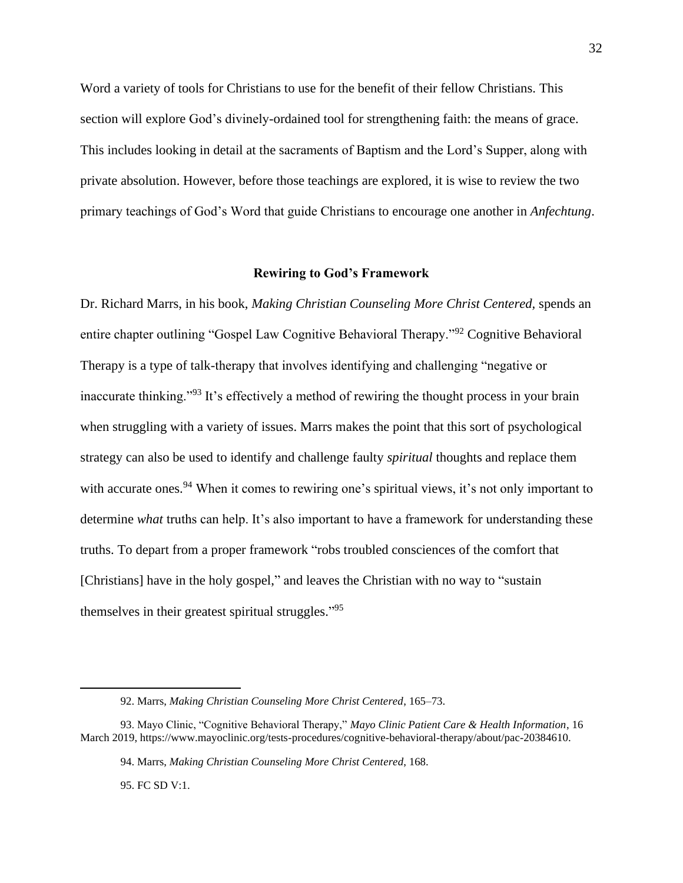Word a variety of tools for Christians to use for the benefit of their fellow Christians. This section will explore God's divinely-ordained tool for strengthening faith: the means of grace. This includes looking in detail at the sacraments of Baptism and the Lord's Supper, along with private absolution. However, before those teachings are explored, it is wise to review the two primary teachings of God's Word that guide Christians to encourage one another in *Anfechtung*.

#### **Rewiring to God's Framework**

Dr. Richard Marrs, in his book, *Making Christian Counseling More Christ Centered,* spends an entire chapter outlining "Gospel Law Cognitive Behavioral Therapy."<sup>92</sup> Cognitive Behavioral Therapy is a type of talk-therapy that involves identifying and challenging "negative or inaccurate thinking."<sup>93</sup> It's effectively a method of rewiring the thought process in your brain when struggling with a variety of issues. Marrs makes the point that this sort of psychological strategy can also be used to identify and challenge faulty *spiritual* thoughts and replace them with accurate ones.<sup>94</sup> When it comes to rewiring one's spiritual views, it's not only important to determine *what* truths can help. It's also important to have a framework for understanding these truths. To depart from a proper framework "robs troubled consciences of the comfort that [Christians] have in the holy gospel," and leaves the Christian with no way to "sustain themselves in their greatest spiritual struggles."<sup>95</sup>

95. FC SD V:1.

<sup>92.</sup> Marrs, *Making Christian Counseling More Christ Centered*, 165–73.

<sup>93.</sup> Mayo Clinic, "Cognitive Behavioral Therapy," *Mayo Clinic Patient Care & Health Information*, 16 March 2019, https://www.mayoclinic.org/tests-procedures/cognitive-behavioral-therapy/about/pac-20384610.

<sup>94.</sup> Marrs, *Making Christian Counseling More Christ Centered*, 168.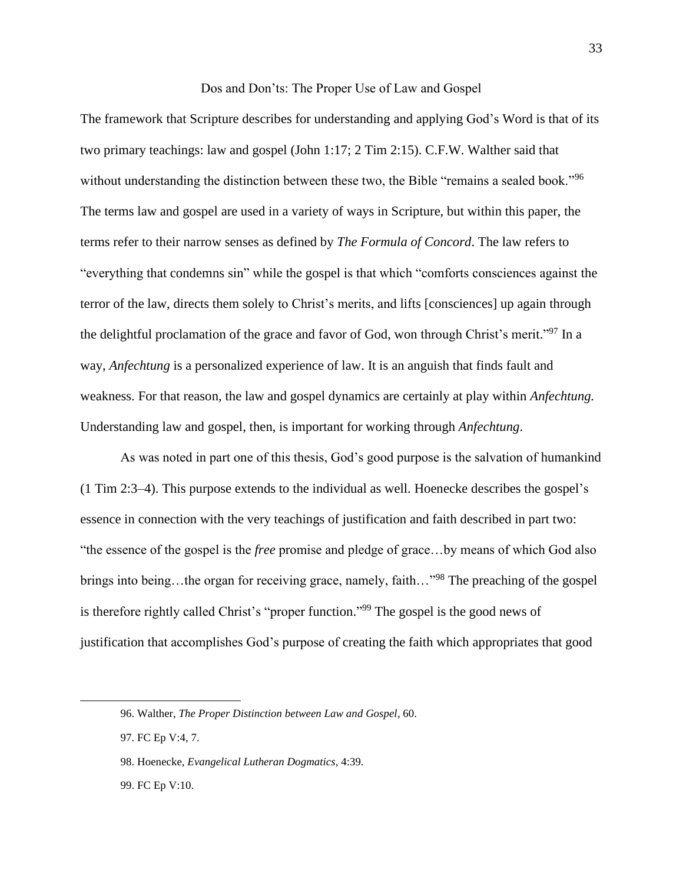# Dos and Don'ts: The Proper Use of Law and Gospel

The framework that Scripture describes for understanding and applying God's Word is that of its two primary teachings: law and gospel (John 1:17; 2 Tim 2:15). C.F.W. Walther said that without understanding the distinction between these two, the Bible "remains a sealed book."<sup>96</sup> The terms law and gospel are used in a variety of ways in Scripture, but within this paper, the terms refer to their narrow senses as defined by *The Formula of Concord*. The law refers to "everything that condemns sin" while the gospel is that which "comforts consciences against the terror of the law, directs them solely to Christ's merits, and lifts [consciences] up again through the delightful proclamation of the grace and favor of God, won through Christ's merit."<sup>97</sup> In a way, *Anfechtung* is a personalized experience of law. It is an anguish that finds fault and weakness. For that reason, the law and gospel dynamics are certainly at play within *Anfechtung.*  Understanding law and gospel, then, is important for working through *Anfechtung*.

As was noted in part one of this thesis, God's good purpose is the salvation of humankind (1 Tim 2:3–4). This purpose extends to the individual as well. Hoenecke describes the gospel's essence in connection with the very teachings of justification and faith described in part two: "the essence of the gospel is the *free* promise and pledge of grace…by means of which God also brings into being...the organ for receiving grace, namely, faith..."<sup>98</sup> The preaching of the gospel is therefore rightly called Christ's "proper function."<sup>99</sup> The gospel is the good news of justification that accomplishes God's purpose of creating the faith which appropriates that good

<sup>96.</sup> Walther, *The Proper Distinction between Law and Gospel*, 60.

<sup>97.</sup> FC Ep V:4, 7.

<sup>98.</sup> Hoenecke, *Evangelical Lutheran Dogmatics*, 4:39.

<sup>99.</sup> FC Ep V:10.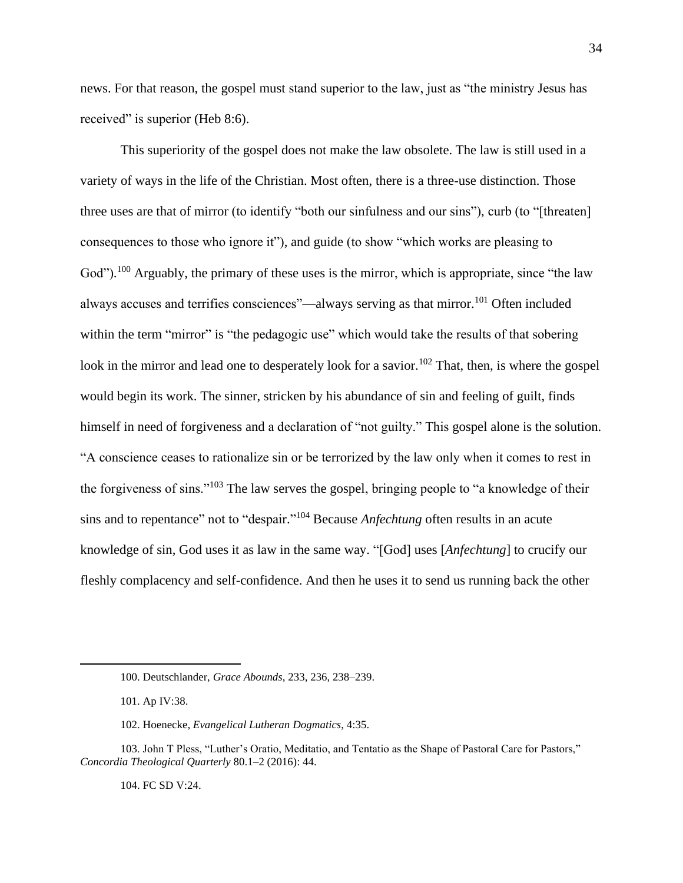news. For that reason, the gospel must stand superior to the law, just as "the ministry Jesus has received" is superior (Heb 8:6).

This superiority of the gospel does not make the law obsolete. The law is still used in a variety of ways in the life of the Christian. Most often, there is a three-use distinction. Those three uses are that of mirror (to identify "both our sinfulness and our sins"), curb (to "[threaten] consequences to those who ignore it"), and guide (to show "which works are pleasing to God").<sup>100</sup> Arguably, the primary of these uses is the mirror, which is appropriate, since "the law always accuses and terrifies consciences"—always serving as that mirror.<sup>101</sup> Often included within the term "mirror" is "the pedagogic use" which would take the results of that sobering look in the mirror and lead one to desperately look for a savior.<sup>102</sup> That, then, is where the gospel would begin its work. The sinner, stricken by his abundance of sin and feeling of guilt, finds himself in need of forgiveness and a declaration of "not guilty." This gospel alone is the solution. "A conscience ceases to rationalize sin or be terrorized by the law only when it comes to rest in the forgiveness of sins."<sup>103</sup> The law serves the gospel, bringing people to "a knowledge of their sins and to repentance" not to "despair." <sup>104</sup> Because *Anfechtung* often results in an acute knowledge of sin, God uses it as law in the same way. "[God] uses [*Anfechtung*] to crucify our fleshly complacency and self-confidence. And then he uses it to send us running back the other

104. FC SD V:24.

<sup>100.</sup> Deutschlander, *Grace Abounds*, 233, 236, 238–239.

<sup>101.</sup> Ap IV:38.

<sup>102.</sup> Hoenecke, *Evangelical Lutheran Dogmatics*, 4:35.

<sup>103.</sup> John T Pless, "Luther's Oratio, Meditatio, and Tentatio as the Shape of Pastoral Care for Pastors," *Concordia Theological Quarterly* 80.1–2 (2016): 44.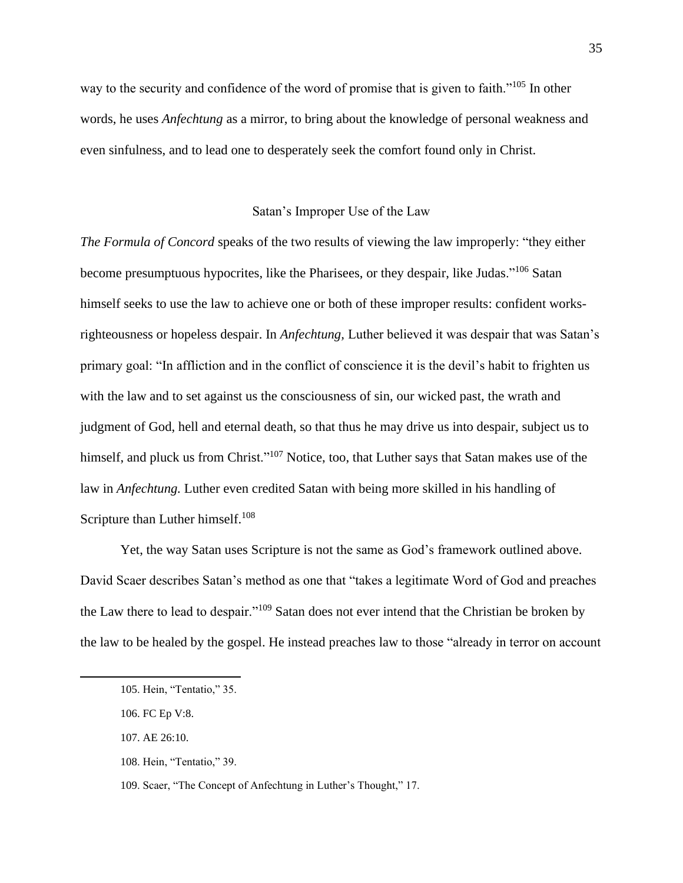way to the security and confidence of the word of promise that is given to faith."<sup>105</sup> In other words, he uses *Anfechtung* as a mirror, to bring about the knowledge of personal weakness and even sinfulness, and to lead one to desperately seek the comfort found only in Christ.

# Satan's Improper Use of the Law

*The Formula of Concord* speaks of the two results of viewing the law improperly: "they either become presumptuous hypocrites, like the Pharisees, or they despair, like Judas."<sup>106</sup> Satan himself seeks to use the law to achieve one or both of these improper results: confident worksrighteousness or hopeless despair. In *Anfechtung,* Luther believed it was despair that was Satan's primary goal: "In affliction and in the conflict of conscience it is the devil's habit to frighten us with the law and to set against us the consciousness of sin, our wicked past, the wrath and judgment of God, hell and eternal death, so that thus he may drive us into despair, subject us to himself, and pluck us from Christ."<sup>107</sup> Notice, too, that Luther says that Satan makes use of the law in *Anfechtung.* Luther even credited Satan with being more skilled in his handling of Scripture than Luther himself.<sup>108</sup>

Yet, the way Satan uses Scripture is not the same as God's framework outlined above. David Scaer describes Satan's method as one that "takes a legitimate Word of God and preaches the Law there to lead to despair."<sup>109</sup> Satan does not ever intend that the Christian be broken by the law to be healed by the gospel. He instead preaches law to those "already in terror on account

108. Hein, "Tentatio," 39.

<sup>105.</sup> Hein, "Tentatio," 35.

<sup>106.</sup> FC Ep V:8.

<sup>107.</sup> AE 26:10.

<sup>109.</sup> Scaer, "The Concept of Anfechtung in Luther's Thought," 17.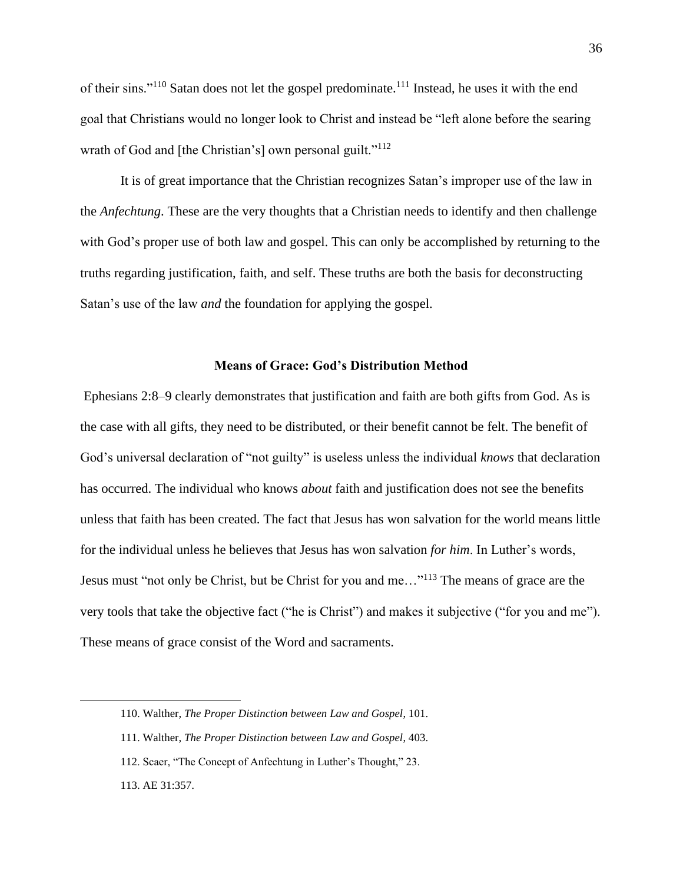of their sins."<sup>110</sup> Satan does not let the gospel predominate.<sup>111</sup> Instead, he uses it with the end goal that Christians would no longer look to Christ and instead be "left alone before the searing wrath of God and [the Christian's] own personal guilt."<sup>112</sup>

It is of great importance that the Christian recognizes Satan's improper use of the law in the *Anfechtung*. These are the very thoughts that a Christian needs to identify and then challenge with God's proper use of both law and gospel. This can only be accomplished by returning to the truths regarding justification, faith, and self. These truths are both the basis for deconstructing Satan's use of the law *and* the foundation for applying the gospel.

# **Means of Grace: God's Distribution Method**

Ephesians 2:8–9 clearly demonstrates that justification and faith are both gifts from God. As is the case with all gifts, they need to be distributed, or their benefit cannot be felt. The benefit of God's universal declaration of "not guilty" is useless unless the individual *knows* that declaration has occurred. The individual who knows *about* faith and justification does not see the benefits unless that faith has been created. The fact that Jesus has won salvation for the world means little for the individual unless he believes that Jesus has won salvation *for him*. In Luther's words, Jesus must "not only be Christ, but be Christ for you and me…"<sup>113</sup> The means of grace are the very tools that take the objective fact ("he is Christ") and makes it subjective ("for you and me"). These means of grace consist of the Word and sacraments.

<sup>110.</sup> Walther, *The Proper Distinction between Law and Gospel*, 101.

<sup>111.</sup> Walther, *The Proper Distinction between Law and Gospel*, 403.

<sup>112.</sup> Scaer, "The Concept of Anfechtung in Luther's Thought," 23.

<sup>113.</sup> AE 31:357.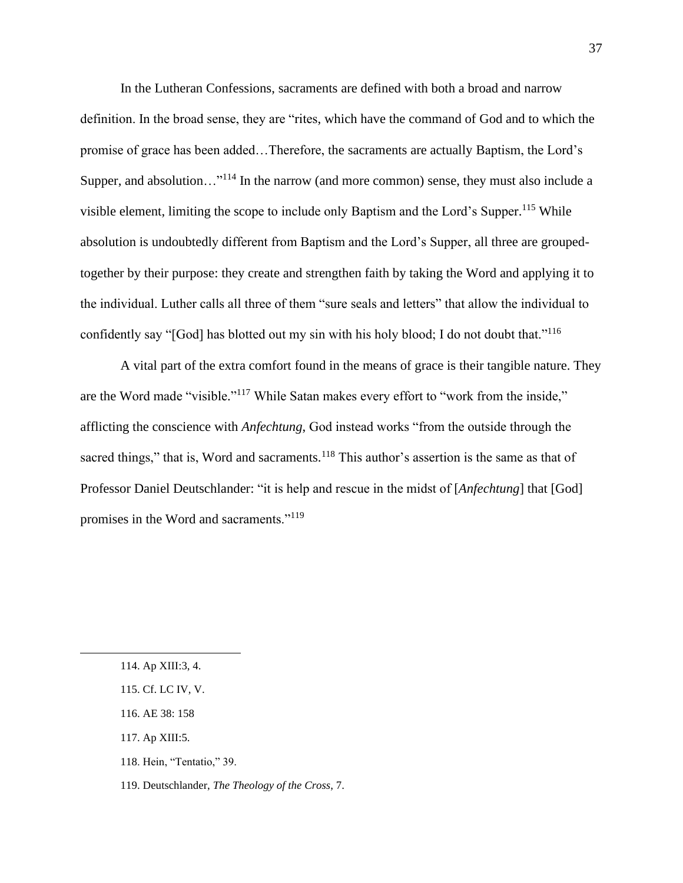In the Lutheran Confessions, sacraments are defined with both a broad and narrow definition. In the broad sense, they are "rites, which have the command of God and to which the promise of grace has been added…Therefore, the sacraments are actually Baptism, the Lord's Supper, and absolution... $"$ <sup>114</sup> In the narrow (and more common) sense, they must also include a visible element, limiting the scope to include only Baptism and the Lord's Supper.<sup>115</sup> While absolution is undoubtedly different from Baptism and the Lord's Supper, all three are groupedtogether by their purpose: they create and strengthen faith by taking the Word and applying it to the individual. Luther calls all three of them "sure seals and letters" that allow the individual to confidently say "[God] has blotted out my sin with his holy blood; I do not doubt that."<sup>116</sup>

A vital part of the extra comfort found in the means of grace is their tangible nature. They are the Word made "visible."<sup>117</sup> While Satan makes every effort to "work from the inside," afflicting the conscience with *Anfechtung*, God instead works "from the outside through the sacred things," that is, Word and sacraments.<sup>118</sup> This author's assertion is the same as that of Professor Daniel Deutschlander: "it is help and rescue in the midst of [*Anfechtung*] that [God] promises in the Word and sacraments."<sup>119</sup>

- 117. Ap XIII:5.
- 118. Hein, "Tentatio," 39.

<sup>114.</sup> Ap XIII:3, 4.

<sup>115.</sup> Cf. LC IV, V.

<sup>116.</sup> AE 38: 158

<sup>119.</sup> Deutschlander, *The Theology of the Cross*, 7.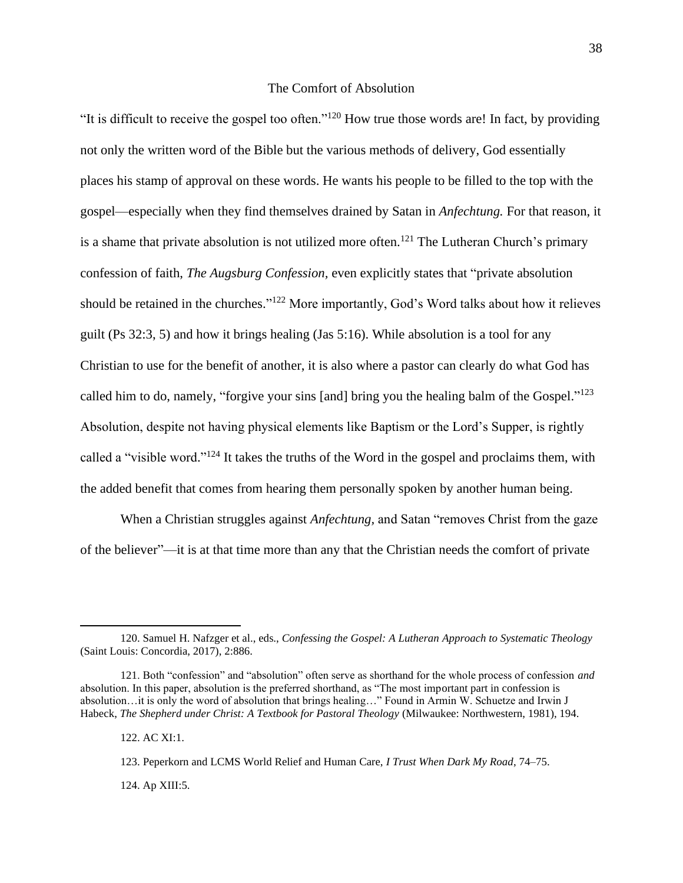# The Comfort of Absolution

"It is difficult to receive the gospel too often."<sup>120</sup> How true those words are! In fact, by providing not only the written word of the Bible but the various methods of delivery, God essentially places his stamp of approval on these words. He wants his people to be filled to the top with the gospel—especially when they find themselves drained by Satan in *Anfechtung.* For that reason, it is a shame that private absolution is not utilized more often.<sup>121</sup> The Lutheran Church's primary confession of faith, *The Augsburg Confession,* even explicitly states that "private absolution should be retained in the churches."<sup>122</sup> More importantly, God's Word talks about how it relieves guilt (Ps 32:3, 5) and how it brings healing (Jas 5:16). While absolution is a tool for any Christian to use for the benefit of another, it is also where a pastor can clearly do what God has called him to do, namely, "forgive your sins [and] bring you the healing balm of the Gospel."<sup>123</sup> Absolution, despite not having physical elements like Baptism or the Lord's Supper, is rightly called a "visible word."<sup>124</sup> It takes the truths of the Word in the gospel and proclaims them, with the added benefit that comes from hearing them personally spoken by another human being.

When a Christian struggles against *Anfechtung,* and Satan "removes Christ from the gaze of the believer"—it is at that time more than any that the Christian needs the comfort of private

122. AC XI:1.

123. Peperkorn and LCMS World Relief and Human Care, *I Trust When Dark My Road*, 74–75.

124. Ap XIII:5.

<sup>120.</sup> Samuel H. Nafzger et al., eds., *Confessing the Gospel: A Lutheran Approach to Systematic Theology* (Saint Louis: Concordia, 2017), 2:886.

<sup>121.</sup> Both "confession" and "absolution" often serve as shorthand for the whole process of confession *and*  absolution. In this paper, absolution is the preferred shorthand, as "The most important part in confession is absolution…it is only the word of absolution that brings healing…" Found in Armin W. Schuetze and Irwin J Habeck, *The Shepherd under Christ: A Textbook for Pastoral Theology* (Milwaukee: Northwestern, 1981), 194.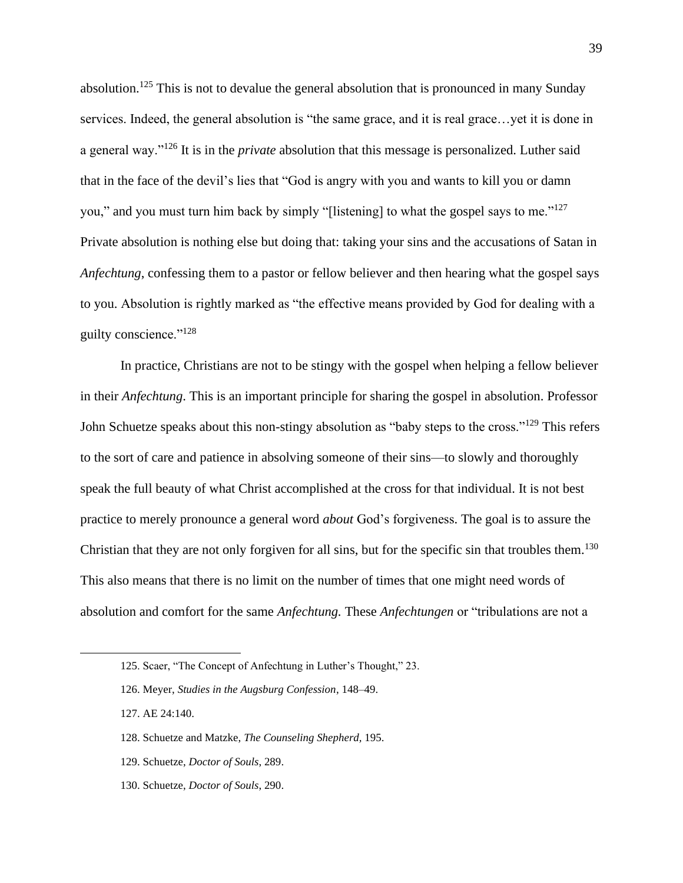absolution.<sup>125</sup> This is not to devalue the general absolution that is pronounced in many Sunday services. Indeed, the general absolution is "the same grace, and it is real grace…yet it is done in a general way."<sup>126</sup> It is in the *private* absolution that this message is personalized. Luther said that in the face of the devil's lies that "God is angry with you and wants to kill you or damn you," and you must turn him back by simply "[listening] to what the gospel says to me."<sup>127</sup> Private absolution is nothing else but doing that: taking your sins and the accusations of Satan in *Anfechtung*, confessing them to a pastor or fellow believer and then hearing what the gospel says to you. Absolution is rightly marked as "the effective means provided by God for dealing with a guilty conscience."<sup>128</sup>

In practice, Christians are not to be stingy with the gospel when helping a fellow believer in their *Anfechtung*. This is an important principle for sharing the gospel in absolution. Professor John Schuetze speaks about this non-stingy absolution as "baby steps to the cross."<sup>129</sup> This refers to the sort of care and patience in absolving someone of their sins—to slowly and thoroughly speak the full beauty of what Christ accomplished at the cross for that individual. It is not best practice to merely pronounce a general word *about* God's forgiveness. The goal is to assure the Christian that they are not only forgiven for all sins, but for the specific sin that troubles them.<sup>130</sup> This also means that there is no limit on the number of times that one might need words of absolution and comfort for the same *Anfechtung.* These *Anfechtungen* or "tribulations are not a

- 129. Schuetze, *Doctor of Souls*, 289.
- 130. Schuetze, *Doctor of Souls*, 290.

<sup>125.</sup> Scaer, "The Concept of Anfechtung in Luther's Thought," 23.

<sup>126.</sup> Meyer, *Studies in the Augsburg Confession*, 148–49.

<sup>127.</sup> AE 24:140.

<sup>128.</sup> Schuetze and Matzke, *The Counseling Shepherd,* 195.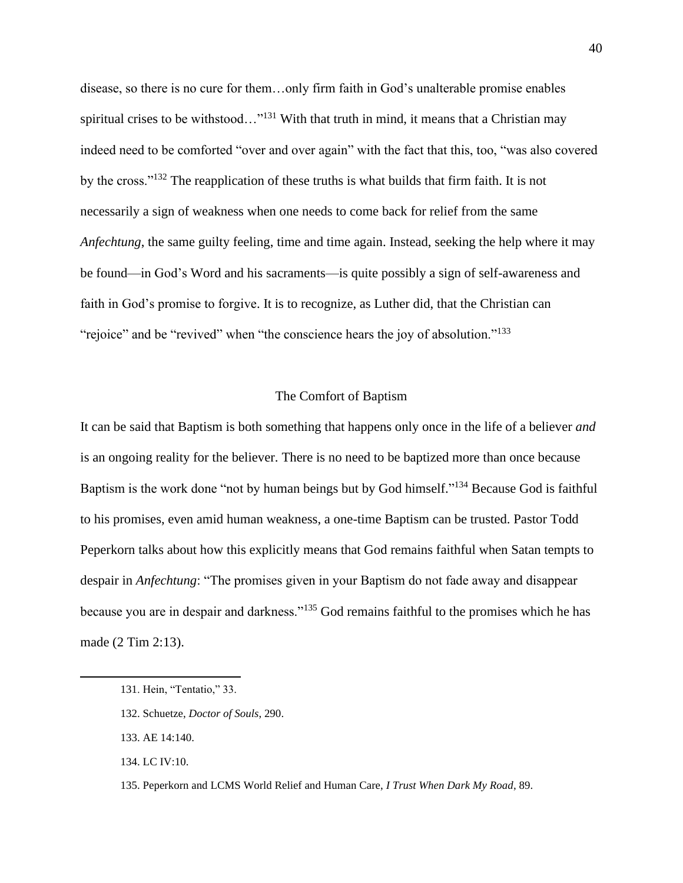disease, so there is no cure for them…only firm faith in God's unalterable promise enables spiritual crises to be withstood..."<sup>131</sup> With that truth in mind, it means that a Christian may indeed need to be comforted "over and over again" with the fact that this, too, "was also covered by the cross."<sup>132</sup> The reapplication of these truths is what builds that firm faith. It is not necessarily a sign of weakness when one needs to come back for relief from the same *Anfechtung*, the same guilty feeling, time and time again. Instead, seeking the help where it may be found—in God's Word and his sacraments—is quite possibly a sign of self-awareness and faith in God's promise to forgive. It is to recognize, as Luther did, that the Christian can "rejoice" and be "revived" when "the conscience hears the joy of absolution."<sup>133</sup>

### The Comfort of Baptism

It can be said that Baptism is both something that happens only once in the life of a believer *and*  is an ongoing reality for the believer. There is no need to be baptized more than once because Baptism is the work done "not by human beings but by God himself."<sup>134</sup> Because God is faithful to his promises, even amid human weakness, a one-time Baptism can be trusted. Pastor Todd Peperkorn talks about how this explicitly means that God remains faithful when Satan tempts to despair in *Anfechtung*: "The promises given in your Baptism do not fade away and disappear because you are in despair and darkness."<sup>135</sup> God remains faithful to the promises which he has made (2 Tim 2:13).

<sup>131.</sup> Hein, "Tentatio," 33.

<sup>132.</sup> Schuetze, *Doctor of Souls*, 290.

<sup>133.</sup> AE 14:140.

<sup>134.</sup> LC IV:10.

<sup>135.</sup> Peperkorn and LCMS World Relief and Human Care, *I Trust When Dark My Road*, 89.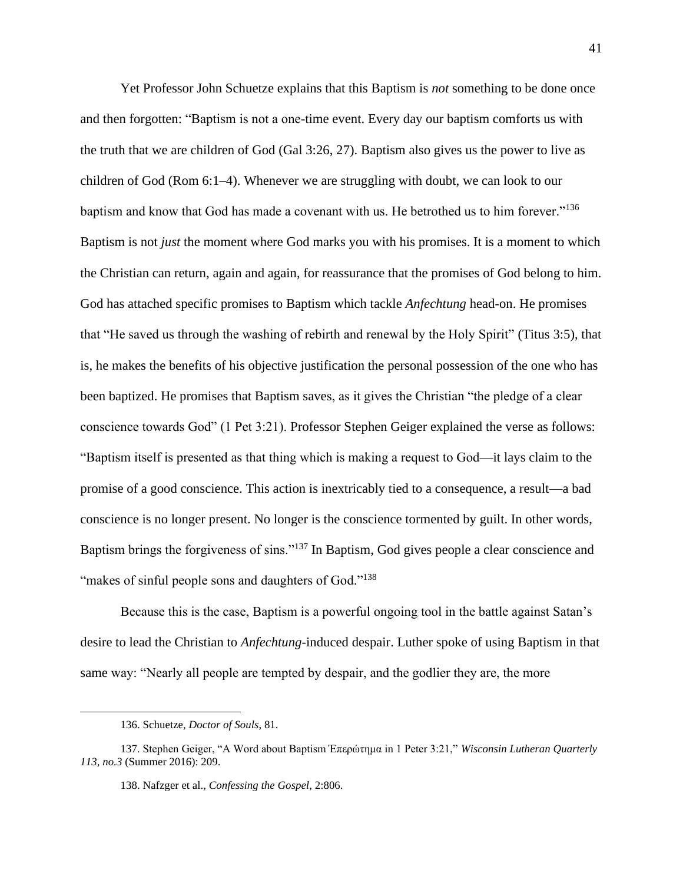Yet Professor John Schuetze explains that this Baptism is *not* something to be done once and then forgotten: "Baptism is not a one-time event. Every day our baptism comforts us with the truth that we are children of God (Gal 3:26, 27). Baptism also gives us the power to live as children of God (Rom 6:1–4). Whenever we are struggling with doubt, we can look to our baptism and know that God has made a covenant with us. He betrothed us to him forever."<sup>136</sup> Baptism is not *just* the moment where God marks you with his promises. It is a moment to which the Christian can return, again and again, for reassurance that the promises of God belong to him. God has attached specific promises to Baptism which tackle *Anfechtung* head-on. He promises that "He saved us through the washing of rebirth and renewal by the Holy Spirit" (Titus 3:5), that is, he makes the benefits of his objective justification the personal possession of the one who has been baptized. He promises that Baptism saves, as it gives the Christian "the pledge of a clear conscience towards God" (1 Pet 3:21). Professor Stephen Geiger explained the verse as follows: "Baptism itself is presented as that thing which is making a request to God—it lays claim to the promise of a good conscience. This action is inextricably tied to a consequence, a result—a bad conscience is no longer present. No longer is the conscience tormented by guilt. In other words, Baptism brings the forgiveness of sins."<sup>137</sup> In Baptism, God gives people a clear conscience and "makes of sinful people sons and daughters of God."<sup>138</sup>

Because this is the case, Baptism is a powerful ongoing tool in the battle against Satan's desire to lead the Christian to *Anfechtung*-induced despair. Luther spoke of using Baptism in that same way: "Nearly all people are tempted by despair, and the godlier they are, the more

<sup>136.</sup> Schuetze, *Doctor of Souls*, 81.

<sup>137.</sup> Stephen Geiger, "A Word about Baptism Έπερώτημα in 1 Peter 3:21," *Wisconsin Lutheran Quarterly 113, no.3* (Summer 2016): 209.

<sup>138.</sup> Nafzger et al., *Confessing the Gospel*, 2:806.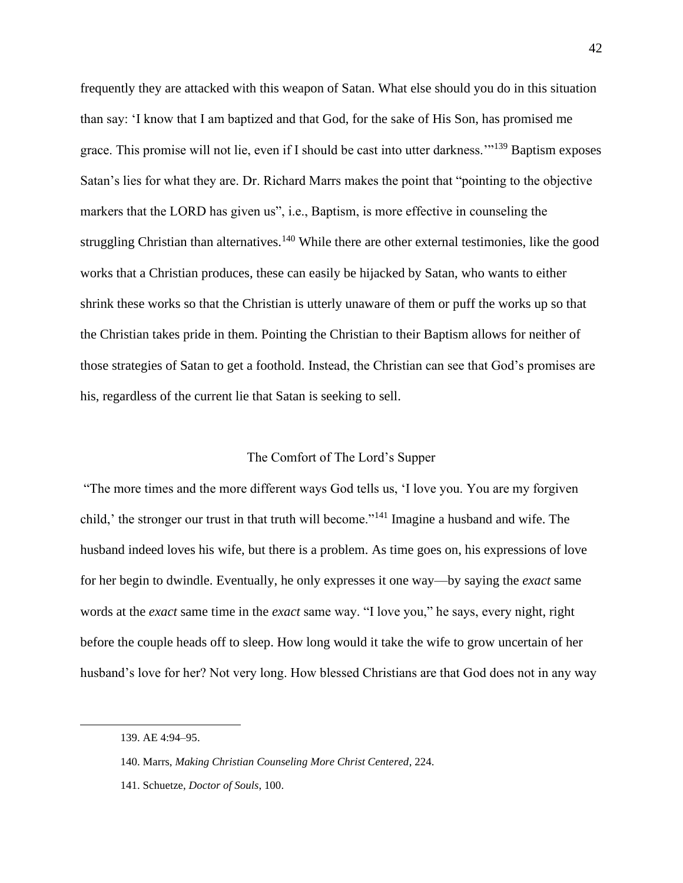frequently they are attacked with this weapon of Satan. What else should you do in this situation than say: 'I know that I am baptized and that God, for the sake of His Son, has promised me grace. This promise will not lie, even if I should be cast into utter darkness.'"<sup>139</sup> Baptism exposes Satan's lies for what they are. Dr. Richard Marrs makes the point that "pointing to the objective markers that the LORD has given us", i.e., Baptism, is more effective in counseling the struggling Christian than alternatives.<sup>140</sup> While there are other external testimonies, like the good works that a Christian produces, these can easily be hijacked by Satan, who wants to either shrink these works so that the Christian is utterly unaware of them or puff the works up so that the Christian takes pride in them. Pointing the Christian to their Baptism allows for neither of those strategies of Satan to get a foothold. Instead, the Christian can see that God's promises are his, regardless of the current lie that Satan is seeking to sell.

# The Comfort of The Lord's Supper

"The more times and the more different ways God tells us, 'I love you. You are my forgiven child,' the stronger our trust in that truth will become."<sup>141</sup> Imagine a husband and wife. The husband indeed loves his wife, but there is a problem. As time goes on, his expressions of love for her begin to dwindle. Eventually, he only expresses it one way—by saying the *exact* same words at the *exact* same time in the *exact* same way. "I love you," he says, every night, right before the couple heads off to sleep. How long would it take the wife to grow uncertain of her husband's love for her? Not very long. How blessed Christians are that God does not in any way

<sup>139.</sup> AE 4:94–95.

<sup>140.</sup> Marrs, *Making Christian Counseling More Christ Centered*, 224.

<sup>141.</sup> Schuetze, *Doctor of Souls*, 100.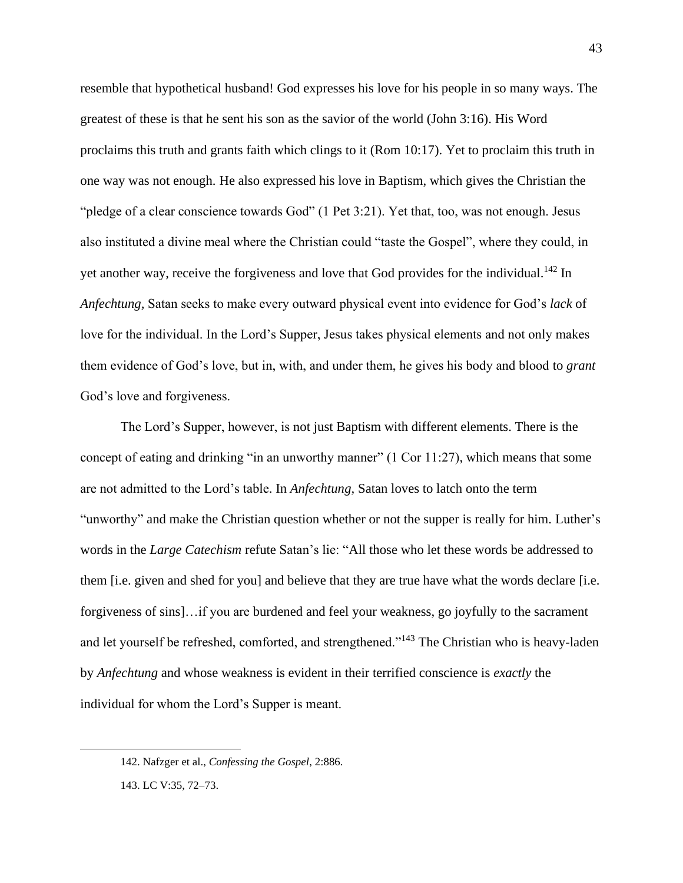resemble that hypothetical husband! God expresses his love for his people in so many ways. The greatest of these is that he sent his son as the savior of the world (John 3:16). His Word proclaims this truth and grants faith which clings to it (Rom 10:17). Yet to proclaim this truth in one way was not enough. He also expressed his love in Baptism, which gives the Christian the "pledge of a clear conscience towards God" (1 Pet 3:21). Yet that, too, was not enough. Jesus also instituted a divine meal where the Christian could "taste the Gospel", where they could, in yet another way, receive the forgiveness and love that God provides for the individual.<sup>142</sup> In *Anfechtung,* Satan seeks to make every outward physical event into evidence for God's *lack* of love for the individual. In the Lord's Supper, Jesus takes physical elements and not only makes them evidence of God's love, but in, with, and under them, he gives his body and blood to *grant*  God's love and forgiveness.

The Lord's Supper, however, is not just Baptism with different elements. There is the concept of eating and drinking "in an unworthy manner" (1 Cor 11:27), which means that some are not admitted to the Lord's table. In *Anfechtung,* Satan loves to latch onto the term "unworthy" and make the Christian question whether or not the supper is really for him. Luther's words in the *Large Catechism* refute Satan's lie: "All those who let these words be addressed to them [i.e. given and shed for you] and believe that they are true have what the words declare [i.e. forgiveness of sins]…if you are burdened and feel your weakness, go joyfully to the sacrament and let yourself be refreshed, comforted, and strengthened."<sup>143</sup> The Christian who is heavy-laden by *Anfechtung* and whose weakness is evident in their terrified conscience is *exactly* the individual for whom the Lord's Supper is meant.

<sup>142.</sup> Nafzger et al., *Confessing the Gospel*, 2:886.

<sup>143.</sup> LC V:35, 72–73.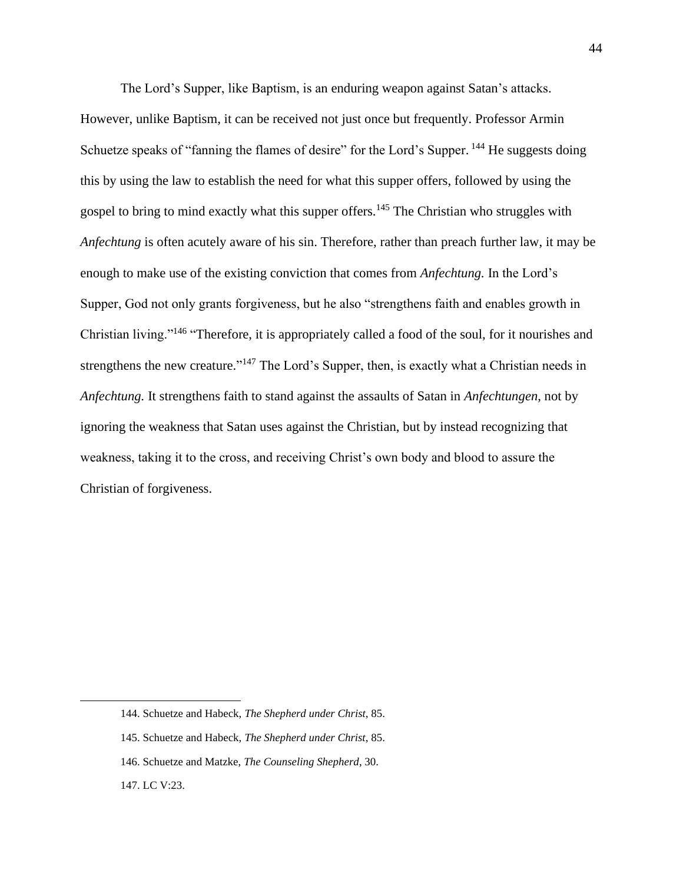The Lord's Supper, like Baptism, is an enduring weapon against Satan's attacks. However, unlike Baptism, it can be received not just once but frequently. Professor Armin Schuetze speaks of "fanning the flames of desire" for the Lord's Supper. <sup>144</sup> He suggests doing this by using the law to establish the need for what this supper offers, followed by using the gospel to bring to mind exactly what this supper offers.<sup>145</sup> The Christian who struggles with *Anfechtung* is often acutely aware of his sin. Therefore, rather than preach further law, it may be enough to make use of the existing conviction that comes from *Anfechtung.* In the Lord's Supper, God not only grants forgiveness, but he also "strengthens faith and enables growth in Christian living."<sup>146</sup> "Therefore, it is appropriately called a food of the soul, for it nourishes and strengthens the new creature."<sup>147</sup> The Lord's Supper, then, is exactly what a Christian needs in *Anfechtung.* It strengthens faith to stand against the assaults of Satan in *Anfechtungen*, not by ignoring the weakness that Satan uses against the Christian, but by instead recognizing that weakness, taking it to the cross, and receiving Christ's own body and blood to assure the Christian of forgiveness.

<sup>144.</sup> Schuetze and Habeck, *The Shepherd under Christ*, 85.

<sup>145.</sup> Schuetze and Habeck, *The Shepherd under Christ*, 85.

<sup>146.</sup> Schuetze and Matzke, *The Counseling Shepherd*, 30.

<sup>147.</sup> LC V:23.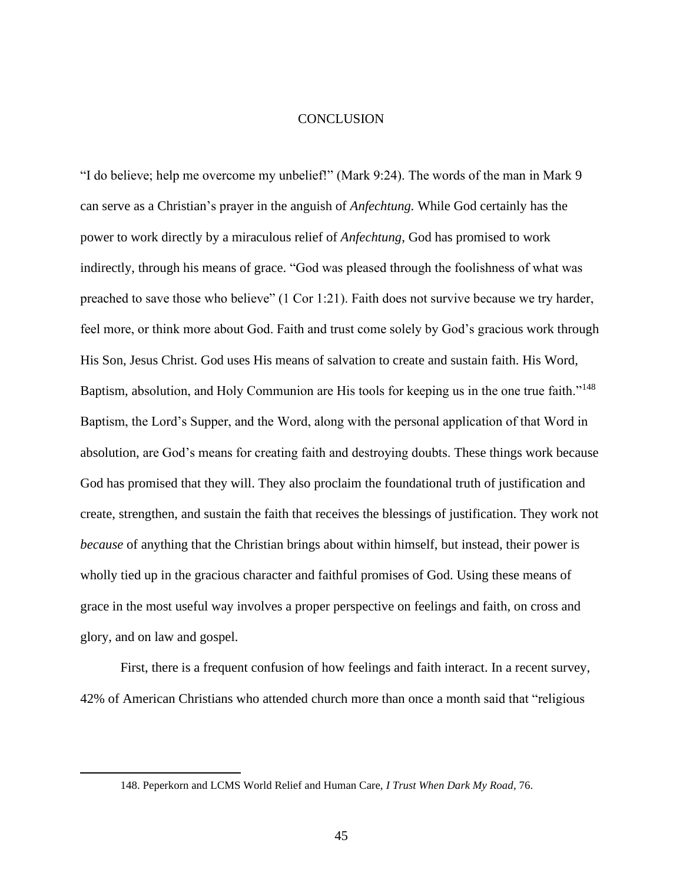# **CONCLUSION**

"I do believe; help me overcome my unbelief!" (Mark 9:24). The words of the man in Mark 9 can serve as a Christian's prayer in the anguish of *Anfechtung.* While God certainly has the power to work directly by a miraculous relief of *Anfechtung*, God has promised to work indirectly, through his means of grace. "God was pleased through the foolishness of what was preached to save those who believe" (1 Cor 1:21). Faith does not survive because we try harder, feel more, or think more about God. Faith and trust come solely by God's gracious work through His Son, Jesus Christ. God uses His means of salvation to create and sustain faith. His Word, Baptism, absolution, and Holy Communion are His tools for keeping us in the one true faith."<sup>148</sup> Baptism, the Lord's Supper, and the Word, along with the personal application of that Word in absolution, are God's means for creating faith and destroying doubts. These things work because God has promised that they will. They also proclaim the foundational truth of justification and create, strengthen, and sustain the faith that receives the blessings of justification. They work not *because* of anything that the Christian brings about within himself, but instead, their power is wholly tied up in the gracious character and faithful promises of God. Using these means of grace in the most useful way involves a proper perspective on feelings and faith, on cross and glory, and on law and gospel.

First, there is a frequent confusion of how feelings and faith interact. In a recent survey, 42% of American Christians who attended church more than once a month said that "religious

<sup>148.</sup> Peperkorn and LCMS World Relief and Human Care, *I Trust When Dark My Road*, 76.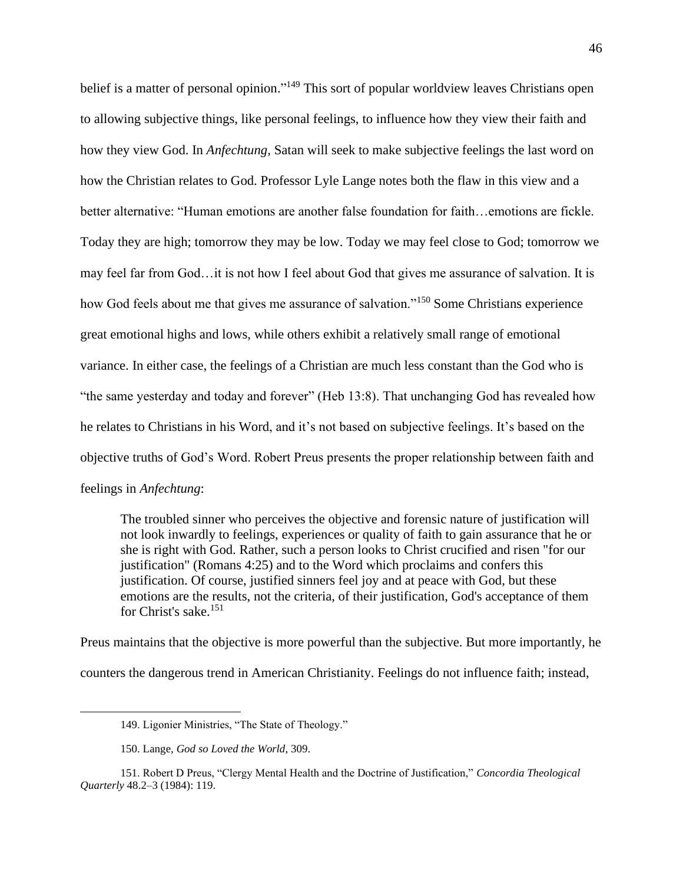belief is a matter of personal opinion."<sup>149</sup> This sort of popular worldview leaves Christians open to allowing subjective things, like personal feelings, to influence how they view their faith and how they view God. In *Anfechtung,* Satan will seek to make subjective feelings the last word on how the Christian relates to God. Professor Lyle Lange notes both the flaw in this view and a better alternative: "Human emotions are another false foundation for faith…emotions are fickle. Today they are high; tomorrow they may be low. Today we may feel close to God; tomorrow we may feel far from God…it is not how I feel about God that gives me assurance of salvation. It is how God feels about me that gives me assurance of salvation."<sup>150</sup> Some Christians experience great emotional highs and lows, while others exhibit a relatively small range of emotional variance. In either case, the feelings of a Christian are much less constant than the God who is "the same yesterday and today and forever" (Heb 13:8). That unchanging God has revealed how he relates to Christians in his Word, and it's not based on subjective feelings. It's based on the objective truths of God's Word. Robert Preus presents the proper relationship between faith and feelings in *Anfechtung*:

The troubled sinner who perceives the objective and forensic nature of justification will not look inwardly to feelings, experiences or quality of faith to gain assurance that he or she is right with God. Rather, such a person looks to Christ crucified and risen "for our justification" (Romans 4:25) and to the Word which proclaims and confers this justification. Of course, justified sinners feel joy and at peace with God, but these emotions are the results, not the criteria, of their justification, God's acceptance of them for Christ's sake.<sup>151</sup>

Preus maintains that the objective is more powerful than the subjective. But more importantly, he counters the dangerous trend in American Christianity. Feelings do not influence faith; instead,

<sup>149.</sup> Ligonier Ministries, "The State of Theology."

<sup>150.</sup> Lange, *God so Loved the World*, 309.

<sup>151.</sup> Robert D Preus, "Clergy Mental Health and the Doctrine of Justification," *Concordia Theological Quarterly* 48.2–3 (1984): 119.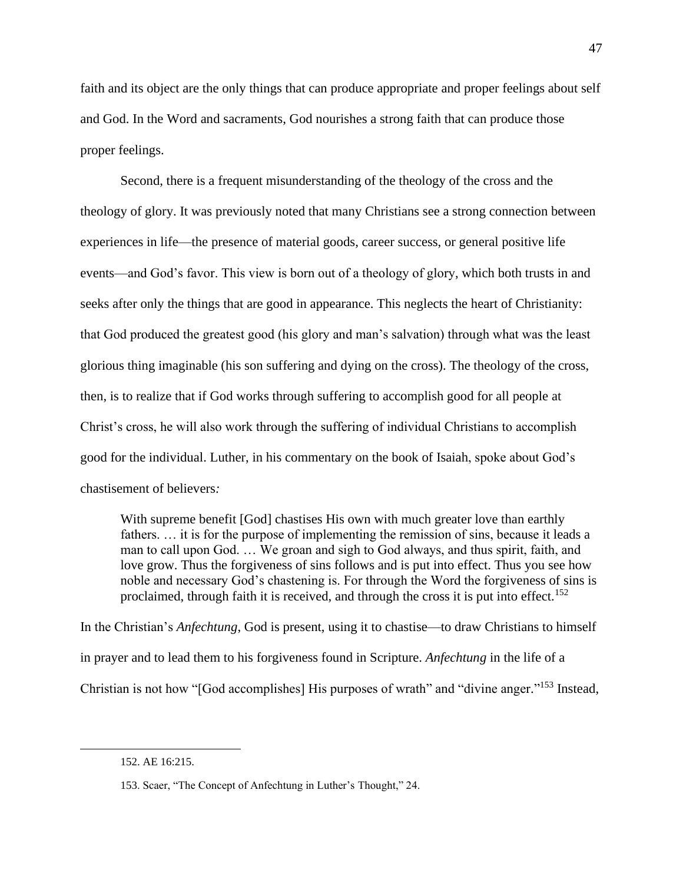faith and its object are the only things that can produce appropriate and proper feelings about self and God. In the Word and sacraments, God nourishes a strong faith that can produce those proper feelings.

Second, there is a frequent misunderstanding of the theology of the cross and the theology of glory. It was previously noted that many Christians see a strong connection between experiences in life—the presence of material goods, career success, or general positive life events—and God's favor. This view is born out of a theology of glory, which both trusts in and seeks after only the things that are good in appearance. This neglects the heart of Christianity: that God produced the greatest good (his glory and man's salvation) through what was the least glorious thing imaginable (his son suffering and dying on the cross). The theology of the cross, then, is to realize that if God works through suffering to accomplish good for all people at Christ's cross, he will also work through the suffering of individual Christians to accomplish good for the individual. Luther, in his commentary on the book of Isaiah, spoke about God's chastisement of believers*:* 

With supreme benefit [God] chastises His own with much greater love than earthly fathers. … it is for the purpose of implementing the remission of sins, because it leads a man to call upon God. … We groan and sigh to God always, and thus spirit, faith, and love grow. Thus the forgiveness of sins follows and is put into effect. Thus you see how noble and necessary God's chastening is. For through the Word the forgiveness of sins is proclaimed, through faith it is received, and through the cross it is put into effect.<sup>152</sup>

In the Christian's *Anfechtung*, God is present, using it to chastise—to draw Christians to himself in prayer and to lead them to his forgiveness found in Scripture. *Anfechtung* in the life of a Christian is not how "[God accomplishes] His purposes of wrath" and "divine anger."<sup>153</sup> Instead,

<sup>152.</sup> AE 16:215.

<sup>153.</sup> Scaer, "The Concept of Anfechtung in Luther's Thought," 24.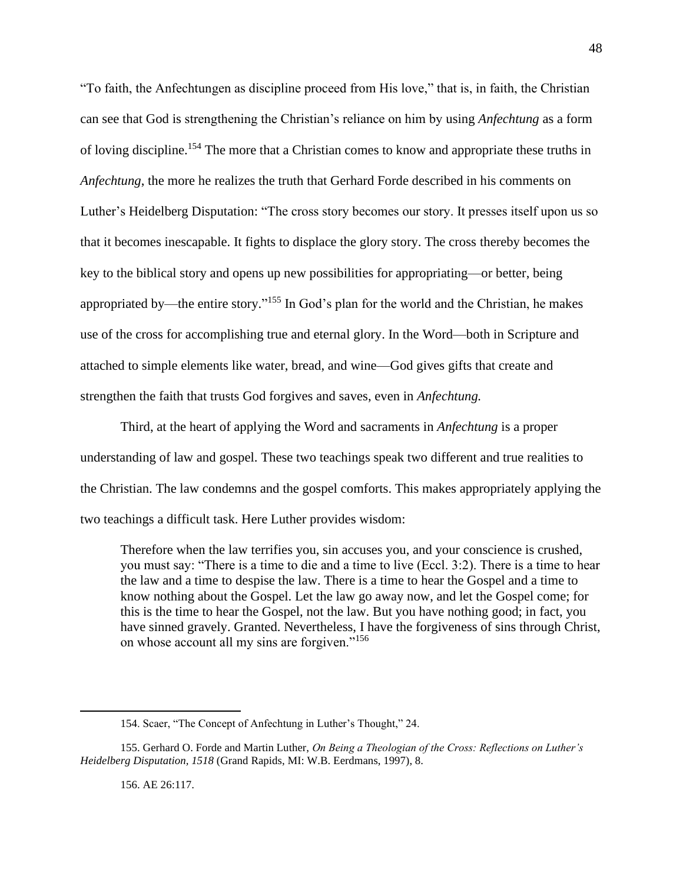"To faith, the Anfechtungen as discipline proceed from His love," that is, in faith, the Christian can see that God is strengthening the Christian's reliance on him by using *Anfechtung* as a form of loving discipline.<sup>154</sup> The more that a Christian comes to know and appropriate these truths in *Anfechtung*, the more he realizes the truth that Gerhard Forde described in his comments on Luther's Heidelberg Disputation: "The cross story becomes our story. It presses itself upon us so that it becomes inescapable. It fights to displace the glory story. The cross thereby becomes the key to the biblical story and opens up new possibilities for appropriating—or better, being appropriated by—the entire story."<sup>155</sup> In God's plan for the world and the Christian, he makes use of the cross for accomplishing true and eternal glory. In the Word—both in Scripture and attached to simple elements like water, bread, and wine—God gives gifts that create and strengthen the faith that trusts God forgives and saves, even in *Anfechtung.*

Third, at the heart of applying the Word and sacraments in *Anfechtung* is a proper understanding of law and gospel. These two teachings speak two different and true realities to the Christian. The law condemns and the gospel comforts. This makes appropriately applying the two teachings a difficult task. Here Luther provides wisdom:

Therefore when the law terrifies you, sin accuses you, and your conscience is crushed, you must say: "There is a time to die and a time to live (Eccl. 3:2). There is a time to hear the law and a time to despise the law. There is a time to hear the Gospel and a time to know nothing about the Gospel. Let the law go away now, and let the Gospel come; for this is the time to hear the Gospel, not the law. But you have nothing good; in fact, you have sinned gravely. Granted. Nevertheless, I have the forgiveness of sins through Christ, on whose account all my sins are forgiven."<sup>156</sup>

156. AE 26:117.

<sup>154.</sup> Scaer, "The Concept of Anfechtung in Luther's Thought," 24.

<sup>155.</sup> Gerhard O. Forde and Martin Luther, *On Being a Theologian of the Cross: Reflections on Luther's Heidelberg Disputation, 1518* (Grand Rapids, MI: W.B. Eerdmans, 1997), 8.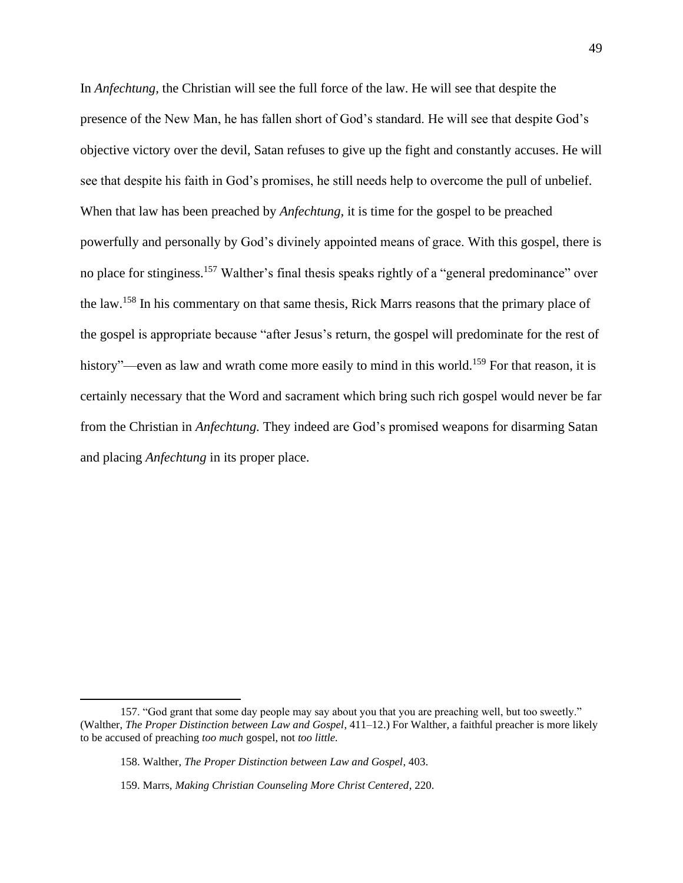In *Anfechtung,* the Christian will see the full force of the law. He will see that despite the presence of the New Man, he has fallen short of God's standard. He will see that despite God's objective victory over the devil, Satan refuses to give up the fight and constantly accuses. He will see that despite his faith in God's promises, he still needs help to overcome the pull of unbelief. When that law has been preached by *Anfechtung,* it is time for the gospel to be preached powerfully and personally by God's divinely appointed means of grace. With this gospel, there is no place for stinginess.<sup>157</sup> Walther's final thesis speaks rightly of a "general predominance" over the law.<sup>158</sup> In his commentary on that same thesis, Rick Marrs reasons that the primary place of the gospel is appropriate because "after Jesus's return, the gospel will predominate for the rest of history"—even as law and wrath come more easily to mind in this world.<sup>159</sup> For that reason, it is certainly necessary that the Word and sacrament which bring such rich gospel would never be far from the Christian in *Anfechtung.* They indeed are God's promised weapons for disarming Satan and placing *Anfechtung* in its proper place.

<sup>157. &</sup>quot;God grant that some day people may say about you that you are preaching well, but too sweetly." (Walther, *The Proper Distinction between Law and Gospel*, 411–12.) For Walther, a faithful preacher is more likely to be accused of preaching *too much* gospel, not *too little.*

<sup>158.</sup> Walther, *The Proper Distinction between Law and Gospel*, 403.

<sup>159.</sup> Marrs, *Making Christian Counseling More Christ Centered*, 220.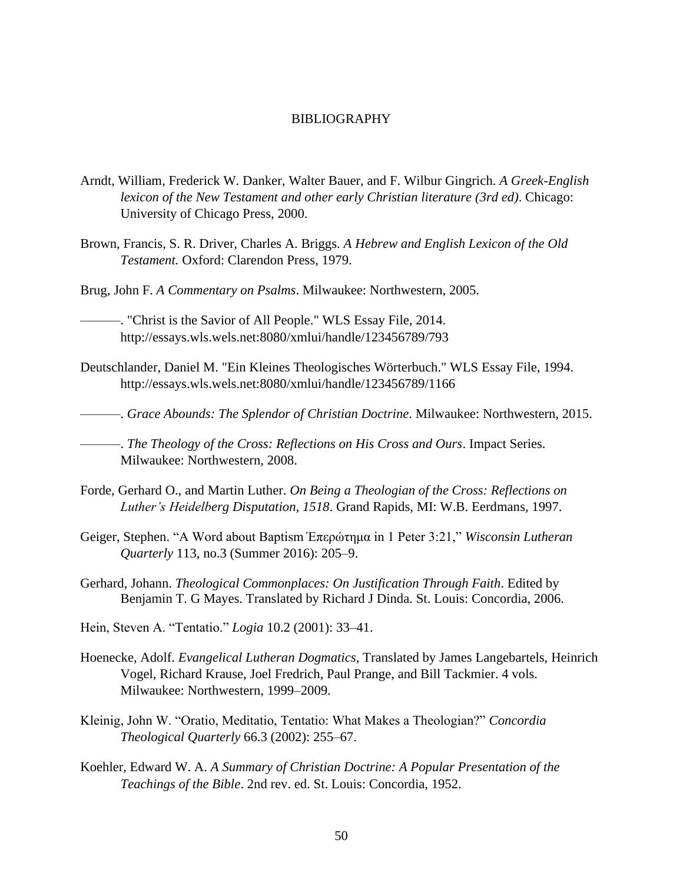# BIBLIOGRAPHY

- Arndt, William, Frederick W. Danker, Walter Bauer, and F. Wilbur Gingrich. *A Greek-English lexicon of the New Testament and other early Christian literature (3rd ed)*. Chicago: University of Chicago Press, 2000.
- Brown, Francis, S. R. Driver, Charles A. Briggs. *A Hebrew and English Lexicon of the Old Testament.* Oxford: Clarendon Press, 1979.

Brug, John F. *A Commentary on Psalms*. Milwaukee: Northwestern, 2005.

———. "Christ is the Savior of All People." WLS Essay File, 2014. http://essays.wls.wels.net:8080/xmlui/handle/123456789/793

Deutschlander, Daniel M. "Ein Kleines Theologisches Wörterbuch." WLS Essay File, 1994. http://essays.wls.wels.net:8080/xmlui/handle/123456789/1166

———. *Grace Abounds: The Splendor of Christian Doctrine*. Milwaukee: Northwestern, 2015.

———. *The Theology of the Cross: Reflections on His Cross and Ours*. Impact Series. Milwaukee: Northwestern, 2008.

- Forde, Gerhard O., and Martin Luther. *On Being a Theologian of the Cross: Reflections on Luther's Heidelberg Disputation, 1518*. Grand Rapids, MI: W.B. Eerdmans, 1997.
- Geiger, Stephen. "A Word about Baptism Έπερώτημα in 1 Peter 3:21," *Wisconsin Lutheran Quarterly* 113, no.3 (Summer 2016): 205–9.
- Gerhard, Johann. *Theological Commonplaces: On Justification Through Faith*. Edited by Benjamin T. G Mayes. Translated by Richard J Dinda. St. Louis: Concordia, 2006.
- Hein, Steven A. "Tentatio." *Logia* 10.2 (2001): 33–41.
- Hoenecke, Adolf. *Evangelical Lutheran Dogmatics*, Translated by James Langebartels, Heinrich Vogel, Richard Krause, Joel Fredrich, Paul Prange, and Bill Tackmier. 4 vols. Milwaukee: Northwestern, 1999–2009.
- Kleinig, John W. "Oratio, Meditatio, Tentatio: What Makes a Theologian?" *Concordia Theological Quarterly* 66.3 (2002): 255–67.
- Koehler, Edward W. A. *A Summary of Christian Doctrine: A Popular Presentation of the Teachings of the Bible*. 2nd rev. ed. St. Louis: Concordia, 1952.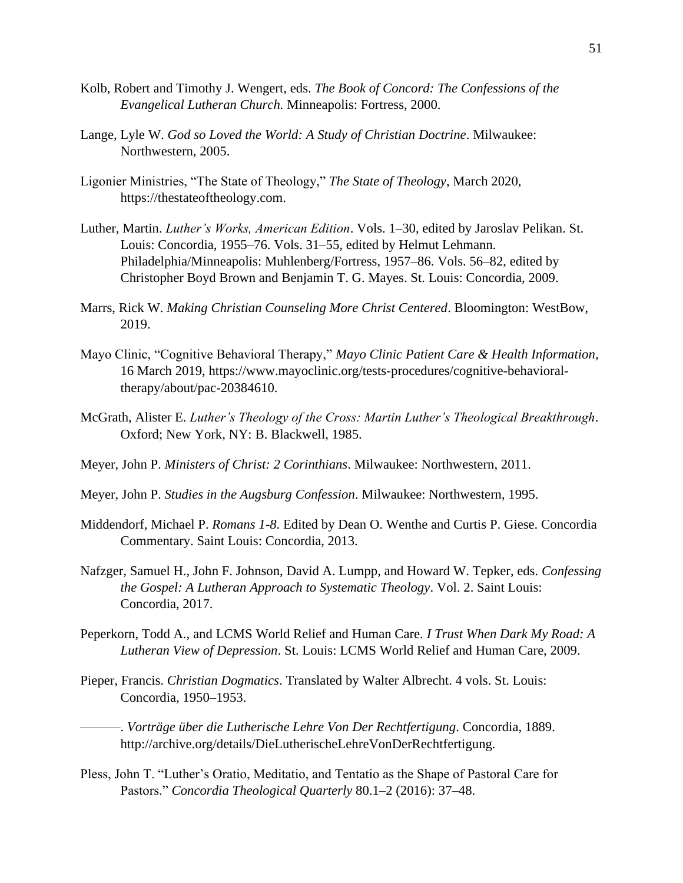- Kolb, Robert and Timothy J. Wengert, eds. *The Book of Concord: The Confessions of the Evangelical Lutheran Church.* Minneapolis: Fortress, 2000.
- Lange, Lyle W. *God so Loved the World: A Study of Christian Doctrine*. Milwaukee: Northwestern, 2005.
- Ligonier Ministries, "The State of Theology," *The State of Theology*, March 2020, https://thestateoftheology.com.
- Luther, Martin. *Luther's Works, American Edition*. Vols. 1–30, edited by Jaroslav Pelikan. St. Louis: Concordia, 1955–76. Vols. 31–55, edited by Helmut Lehmann. Philadelphia/Minneapolis: Muhlenberg/Fortress, 1957–86. Vols. 56–82, edited by Christopher Boyd Brown and Benjamin T. G. Mayes. St. Louis: Concordia, 2009.
- Marrs, Rick W. *Making Christian Counseling More Christ Centered*. Bloomington: WestBow, 2019.
- Mayo Clinic, "Cognitive Behavioral Therapy," *Mayo Clinic Patient Care & Health Information*, 16 March 2019, https://www.mayoclinic.org/tests-procedures/cognitive-behavioraltherapy/about/pac-20384610.
- McGrath, Alister E. *Luther's Theology of the Cross: Martin Luther's Theological Breakthrough*. Oxford; New York, NY: B. Blackwell, 1985.
- Meyer, John P. *Ministers of Christ: 2 Corinthians*. Milwaukee: Northwestern, 2011.
- Meyer, John P. *Studies in the Augsburg Confession*. Milwaukee: Northwestern, 1995.
- Middendorf, Michael P. *Romans 1-8*. Edited by Dean O. Wenthe and Curtis P. Giese. Concordia Commentary. Saint Louis: Concordia, 2013.
- Nafzger, Samuel H., John F. Johnson, David A. Lumpp, and Howard W. Tepker, eds. *Confessing the Gospel: A Lutheran Approach to Systematic Theology*. Vol. 2. Saint Louis: Concordia, 2017.
- Peperkorn, Todd A., and LCMS World Relief and Human Care. *I Trust When Dark My Road: A Lutheran View of Depression*. St. Louis: LCMS World Relief and Human Care, 2009.
- Pieper, Francis. *Christian Dogmatics*. Translated by Walter Albrecht. 4 vols. St. Louis: Concordia, 1950–1953.

———. *Vorträge über die Lutherische Lehre Von Der Rechtfertigung*. Concordia, 1889. http://archive.org/details/DieLutherischeLehreVonDerRechtfertigung.

Pless, John T. "Luther's Oratio, Meditatio, and Tentatio as the Shape of Pastoral Care for Pastors." *Concordia Theological Quarterly* 80.1–2 (2016): 37–48.